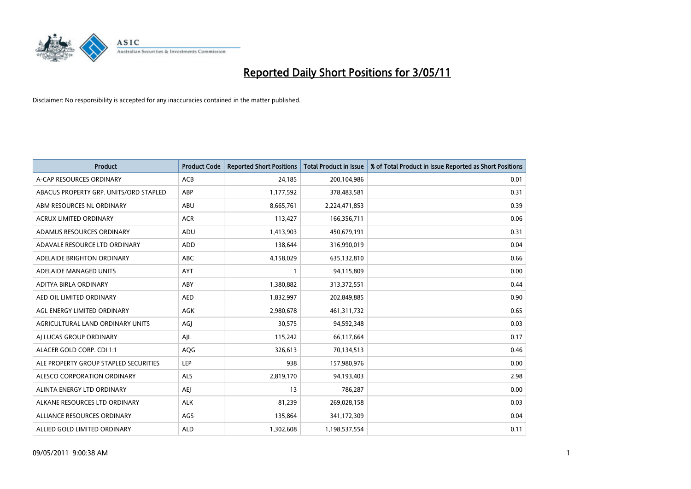

| <b>Product</b>                         | <b>Product Code</b> | <b>Reported Short Positions</b> | Total Product in Issue | % of Total Product in Issue Reported as Short Positions |
|----------------------------------------|---------------------|---------------------------------|------------------------|---------------------------------------------------------|
| A-CAP RESOURCES ORDINARY               | <b>ACB</b>          | 24,185                          | 200,104,986            | 0.01                                                    |
| ABACUS PROPERTY GRP. UNITS/ORD STAPLED | ABP                 | 1,177,592                       | 378,483,581            | 0.31                                                    |
| ABM RESOURCES NL ORDINARY              | ABU                 | 8,665,761                       | 2,224,471,853          | 0.39                                                    |
| ACRUX LIMITED ORDINARY                 | <b>ACR</b>          | 113,427                         | 166,356,711            | 0.06                                                    |
| ADAMUS RESOURCES ORDINARY              | ADU                 | 1,413,903                       | 450,679,191            | 0.31                                                    |
| ADAVALE RESOURCE LTD ORDINARY          | ADD                 | 138,644                         | 316,990,019            | 0.04                                                    |
| ADELAIDE BRIGHTON ORDINARY             | <b>ABC</b>          | 4,158,029                       | 635,132,810            | 0.66                                                    |
| ADELAIDE MANAGED UNITS                 | <b>AYT</b>          |                                 | 94,115,809             | 0.00                                                    |
| ADITYA BIRLA ORDINARY                  | ABY                 | 1,380,882                       | 313,372,551            | 0.44                                                    |
| AED OIL LIMITED ORDINARY               | <b>AED</b>          | 1,832,997                       | 202,849,885            | 0.90                                                    |
| AGL ENERGY LIMITED ORDINARY            | <b>AGK</b>          | 2,980,678                       | 461,311,732            | 0.65                                                    |
| AGRICULTURAL LAND ORDINARY UNITS       | AGJ                 | 30,575                          | 94,592,348             | 0.03                                                    |
| AI LUCAS GROUP ORDINARY                | AJL                 | 115,242                         | 66,117,664             | 0.17                                                    |
| ALACER GOLD CORP. CDI 1:1              | AQG                 | 326,613                         | 70,134,513             | 0.46                                                    |
| ALE PROPERTY GROUP STAPLED SECURITIES  | <b>LEP</b>          | 938                             | 157,980,976            | 0.00                                                    |
| ALESCO CORPORATION ORDINARY            | ALS                 | 2,819,170                       | 94,193,403             | 2.98                                                    |
| ALINTA ENERGY LTD ORDINARY             | <b>AEI</b>          | 13                              | 786,287                | 0.00                                                    |
| ALKANE RESOURCES LTD ORDINARY          | <b>ALK</b>          | 81,239                          | 269,028,158            | 0.03                                                    |
| ALLIANCE RESOURCES ORDINARY            | AGS                 | 135,864                         | 341,172,309            | 0.04                                                    |
| ALLIED GOLD LIMITED ORDINARY           | <b>ALD</b>          | 1,302,608                       | 1,198,537,554          | 0.11                                                    |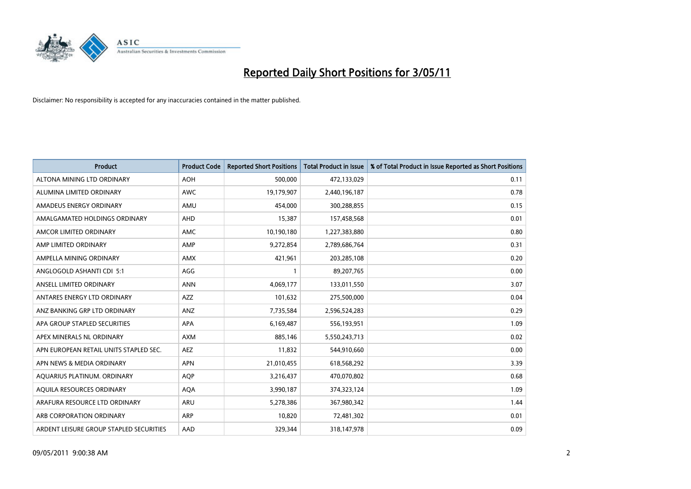

| <b>Product</b>                          | <b>Product Code</b> | <b>Reported Short Positions</b> | <b>Total Product in Issue</b> | % of Total Product in Issue Reported as Short Positions |
|-----------------------------------------|---------------------|---------------------------------|-------------------------------|---------------------------------------------------------|
| ALTONA MINING LTD ORDINARY              | <b>AOH</b>          | 500,000                         | 472,133,029                   | 0.11                                                    |
| ALUMINA LIMITED ORDINARY                | <b>AWC</b>          | 19,179,907                      | 2,440,196,187                 | 0.78                                                    |
| AMADEUS ENERGY ORDINARY                 | AMU                 | 454,000                         | 300,288,855                   | 0.15                                                    |
| AMALGAMATED HOLDINGS ORDINARY           | AHD                 | 15,387                          | 157,458,568                   | 0.01                                                    |
| AMCOR LIMITED ORDINARY                  | <b>AMC</b>          | 10,190,180                      | 1,227,383,880                 | 0.80                                                    |
| AMP LIMITED ORDINARY                    | AMP                 | 9,272,854                       | 2,789,686,764                 | 0.31                                                    |
| AMPELLA MINING ORDINARY                 | <b>AMX</b>          | 421,961                         | 203,285,108                   | 0.20                                                    |
| ANGLOGOLD ASHANTI CDI 5:1               | AGG                 |                                 | 89,207,765                    | 0.00                                                    |
| ANSELL LIMITED ORDINARY                 | <b>ANN</b>          | 4,069,177                       | 133,011,550                   | 3.07                                                    |
| ANTARES ENERGY LTD ORDINARY             | <b>AZZ</b>          | 101,632                         | 275,500,000                   | 0.04                                                    |
| ANZ BANKING GRP LTD ORDINARY            | ANZ                 | 7,735,584                       | 2,596,524,283                 | 0.29                                                    |
| APA GROUP STAPLED SECURITIES            | <b>APA</b>          | 6,169,487                       | 556,193,951                   | 1.09                                                    |
| APEX MINERALS NL ORDINARY               | <b>AXM</b>          | 885,146                         | 5,550,243,713                 | 0.02                                                    |
| APN EUROPEAN RETAIL UNITS STAPLED SEC.  | <b>AEZ</b>          | 11,832                          | 544,910,660                   | 0.00                                                    |
| APN NEWS & MEDIA ORDINARY               | <b>APN</b>          | 21,010,455                      | 618,568,292                   | 3.39                                                    |
| AQUARIUS PLATINUM. ORDINARY             | <b>AOP</b>          | 3,216,437                       | 470,070,802                   | 0.68                                                    |
| AQUILA RESOURCES ORDINARY               | <b>AQA</b>          | 3,990,187                       | 374,323,124                   | 1.09                                                    |
| ARAFURA RESOURCE LTD ORDINARY           | ARU                 | 5,278,386                       | 367,980,342                   | 1.44                                                    |
| ARB CORPORATION ORDINARY                | ARP                 | 10,820                          | 72,481,302                    | 0.01                                                    |
| ARDENT LEISURE GROUP STAPLED SECURITIES | AAD                 | 329.344                         | 318,147,978                   | 0.09                                                    |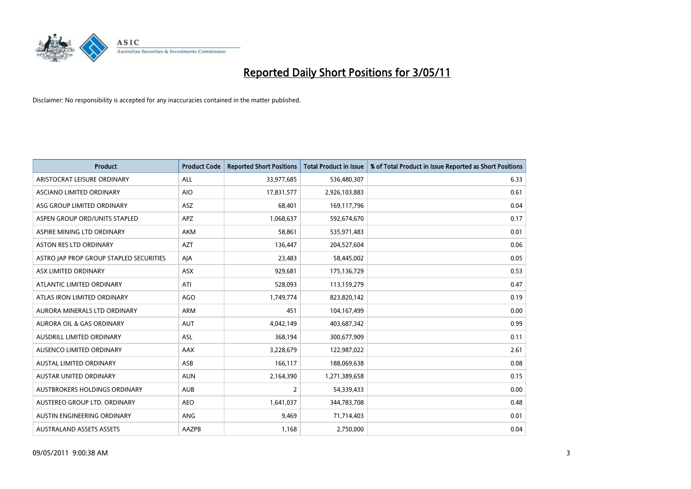

| <b>Product</b>                          | <b>Product Code</b> | <b>Reported Short Positions</b> | Total Product in Issue | % of Total Product in Issue Reported as Short Positions |
|-----------------------------------------|---------------------|---------------------------------|------------------------|---------------------------------------------------------|
| ARISTOCRAT LEISURE ORDINARY             | ALL                 | 33,977,685                      | 536,480,307            | 6.33                                                    |
| ASCIANO LIMITED ORDINARY                | <b>AIO</b>          | 17,831,577                      | 2,926,103,883          | 0.61                                                    |
| ASG GROUP LIMITED ORDINARY              | <b>ASZ</b>          | 68,401                          | 169,117,796            | 0.04                                                    |
| ASPEN GROUP ORD/UNITS STAPLED           | APZ                 | 1,068,637                       | 592,674,670            | 0.17                                                    |
| ASPIRE MINING LTD ORDINARY              | <b>AKM</b>          | 58,861                          | 535,971,483            | 0.01                                                    |
| <b>ASTON RES LTD ORDINARY</b>           | <b>AZT</b>          | 136,447                         | 204,527,604            | 0.06                                                    |
| ASTRO JAP PROP GROUP STAPLED SECURITIES | AJA                 | 23,483                          | 58,445,002             | 0.05                                                    |
| ASX LIMITED ORDINARY                    | ASX                 | 929,681                         | 175,136,729            | 0.53                                                    |
| ATLANTIC LIMITED ORDINARY               | ATI                 | 528,093                         | 113,159,279            | 0.47                                                    |
| ATLAS IRON LIMITED ORDINARY             | <b>AGO</b>          | 1,749,774                       | 823,820,142            | 0.19                                                    |
| AURORA MINERALS LTD ORDINARY            | <b>ARM</b>          | 451                             | 104,167,499            | 0.00                                                    |
| AURORA OIL & GAS ORDINARY               | <b>AUT</b>          | 4,042,149                       | 403,687,342            | 0.99                                                    |
| AUSDRILL LIMITED ORDINARY               | <b>ASL</b>          | 368,194                         | 300,677,909            | 0.11                                                    |
| AUSENCO LIMITED ORDINARY                | AAX                 | 3,228,679                       | 122,987,022            | 2.61                                                    |
| <b>AUSTAL LIMITED ORDINARY</b>          | ASB                 | 166,117                         | 188,069,638            | 0.08                                                    |
| <b>AUSTAR UNITED ORDINARY</b>           | <b>AUN</b>          | 2,164,390                       | 1,271,389,658          | 0.15                                                    |
| AUSTBROKERS HOLDINGS ORDINARY           | <b>AUB</b>          | $\overline{2}$                  | 54,339,433             | 0.00                                                    |
| AUSTEREO GROUP LTD. ORDINARY            | <b>AEO</b>          | 1,641,037                       | 344,783,708            | 0.48                                                    |
| AUSTIN ENGINEERING ORDINARY             | ANG                 | 9,469                           | 71,714,403             | 0.01                                                    |
| <b>AUSTRALAND ASSETS ASSETS</b>         | AAZPB               | 1,168                           | 2,750,000              | 0.04                                                    |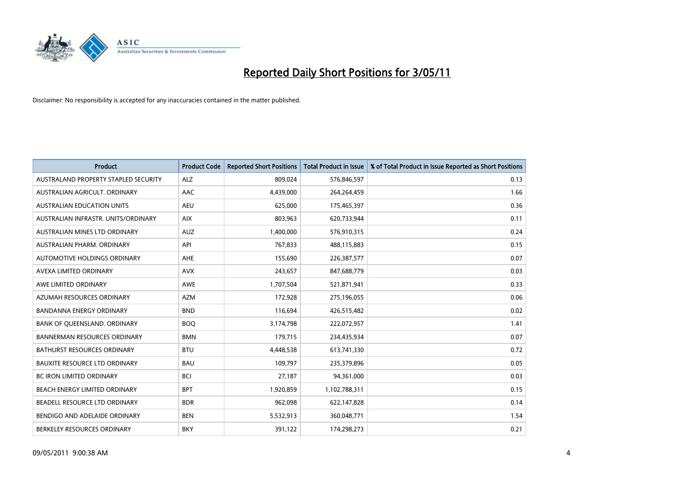

| <b>Product</b>                       | <b>Product Code</b> | <b>Reported Short Positions</b> | Total Product in Issue | % of Total Product in Issue Reported as Short Positions |
|--------------------------------------|---------------------|---------------------------------|------------------------|---------------------------------------------------------|
| AUSTRALAND PROPERTY STAPLED SECURITY | <b>ALZ</b>          | 809,024                         | 576,846,597            | 0.13                                                    |
| AUSTRALIAN AGRICULT, ORDINARY        | AAC                 | 4,439,000                       | 264,264,459            | 1.66                                                    |
| <b>AUSTRALIAN EDUCATION UNITS</b>    | <b>AEU</b>          | 625,000                         | 175,465,397            | 0.36                                                    |
| AUSTRALIAN INFRASTR. UNITS/ORDINARY  | <b>AIX</b>          | 803,963                         | 620,733,944            | 0.11                                                    |
| AUSTRALIAN MINES LTD ORDINARY        | <b>AUZ</b>          | 1,400,000                       | 576,910,315            | 0.24                                                    |
| AUSTRALIAN PHARM, ORDINARY           | API                 | 767,833                         | 488,115,883            | 0.15                                                    |
| AUTOMOTIVE HOLDINGS ORDINARY         | <b>AHE</b>          | 155,690                         | 226,387,577            | 0.07                                                    |
| AVEXA LIMITED ORDINARY               | <b>AVX</b>          | 243,657                         | 847,688,779            | 0.03                                                    |
| AWE LIMITED ORDINARY                 | <b>AWE</b>          | 1,707,504                       | 521,871,941            | 0.33                                                    |
| AZUMAH RESOURCES ORDINARY            | <b>AZM</b>          | 172,928                         | 275,196,055            | 0.06                                                    |
| <b>BANDANNA ENERGY ORDINARY</b>      | <b>BND</b>          | 116,694                         | 426,515,482            | 0.02                                                    |
| BANK OF QUEENSLAND. ORDINARY         | <b>BOO</b>          | 3,174,798                       | 222,072,957            | 1.41                                                    |
| <b>BANNERMAN RESOURCES ORDINARY</b>  | <b>BMN</b>          | 179,715                         | 234,435,934            | 0.07                                                    |
| <b>BATHURST RESOURCES ORDINARY</b>   | <b>BTU</b>          | 4,448,538                       | 613,741,330            | 0.72                                                    |
| <b>BAUXITE RESOURCE LTD ORDINARY</b> | <b>BAU</b>          | 109,797                         | 235,379,896            | 0.05                                                    |
| <b>BC IRON LIMITED ORDINARY</b>      | <b>BCI</b>          | 27,187                          | 94,361,000             | 0.03                                                    |
| BEACH ENERGY LIMITED ORDINARY        | <b>BPT</b>          | 1,920,859                       | 1,102,788,311          | 0.15                                                    |
| BEADELL RESOURCE LTD ORDINARY        | <b>BDR</b>          | 962,098                         | 622,147,828            | 0.14                                                    |
| BENDIGO AND ADELAIDE ORDINARY        | <b>BEN</b>          | 5,532,913                       | 360,048,771            | 1.54                                                    |
| BERKELEY RESOURCES ORDINARY          | <b>BKY</b>          | 391,122                         | 174.298.273            | 0.21                                                    |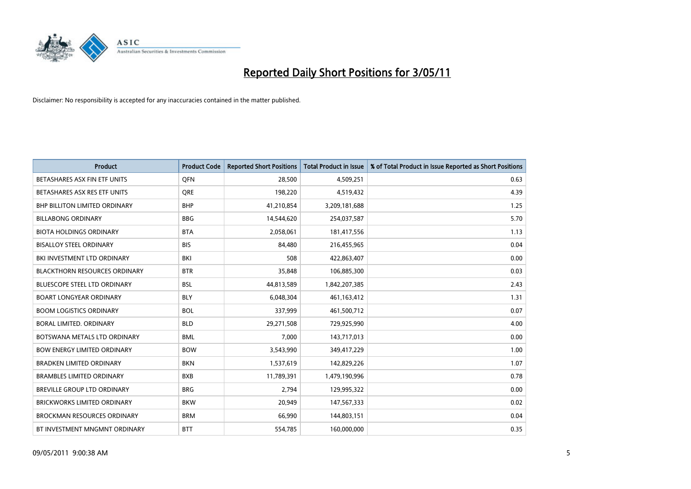

| <b>Product</b>                       | <b>Product Code</b> | <b>Reported Short Positions</b> | <b>Total Product in Issue</b> | % of Total Product in Issue Reported as Short Positions |
|--------------------------------------|---------------------|---------------------------------|-------------------------------|---------------------------------------------------------|
| BETASHARES ASX FIN ETF UNITS         | <b>OFN</b>          | 28,500                          | 4,509,251                     | 0.63                                                    |
| BETASHARES ASX RES ETF UNITS         | <b>ORE</b>          | 198,220                         | 4,519,432                     | 4.39                                                    |
| <b>BHP BILLITON LIMITED ORDINARY</b> | <b>BHP</b>          | 41,210,854                      | 3,209,181,688                 | 1.25                                                    |
| <b>BILLABONG ORDINARY</b>            | <b>BBG</b>          | 14,544,620                      | 254,037,587                   | 5.70                                                    |
| <b>BIOTA HOLDINGS ORDINARY</b>       | <b>BTA</b>          | 2,058,061                       | 181,417,556                   | 1.13                                                    |
| <b>BISALLOY STEEL ORDINARY</b>       | <b>BIS</b>          | 84.480                          | 216,455,965                   | 0.04                                                    |
| BKI INVESTMENT LTD ORDINARY          | <b>BKI</b>          | 508                             | 422,863,407                   | 0.00                                                    |
| <b>BLACKTHORN RESOURCES ORDINARY</b> | <b>BTR</b>          | 35,848                          | 106,885,300                   | 0.03                                                    |
| <b>BLUESCOPE STEEL LTD ORDINARY</b>  | <b>BSL</b>          | 44,813,589                      | 1,842,207,385                 | 2.43                                                    |
| <b>BOART LONGYEAR ORDINARY</b>       | <b>BLY</b>          | 6,048,304                       | 461, 163, 412                 | 1.31                                                    |
| <b>BOOM LOGISTICS ORDINARY</b>       | <b>BOL</b>          | 337,999                         | 461,500,712                   | 0.07                                                    |
| BORAL LIMITED, ORDINARY              | <b>BLD</b>          | 29,271,508                      | 729,925,990                   | 4.00                                                    |
| BOTSWANA METALS LTD ORDINARY         | <b>BML</b>          | 7,000                           | 143,717,013                   | 0.00                                                    |
| <b>BOW ENERGY LIMITED ORDINARY</b>   | <b>BOW</b>          | 3,543,990                       | 349,417,229                   | 1.00                                                    |
| <b>BRADKEN LIMITED ORDINARY</b>      | <b>BKN</b>          | 1,537,619                       | 142,829,226                   | 1.07                                                    |
| <b>BRAMBLES LIMITED ORDINARY</b>     | <b>BXB</b>          | 11,789,391                      | 1,479,190,996                 | 0.78                                                    |
| BREVILLE GROUP LTD ORDINARY          | <b>BRG</b>          | 2,794                           | 129,995,322                   | 0.00                                                    |
| <b>BRICKWORKS LIMITED ORDINARY</b>   | <b>BKW</b>          | 20,949                          | 147,567,333                   | 0.02                                                    |
| <b>BROCKMAN RESOURCES ORDINARY</b>   | <b>BRM</b>          | 66,990                          | 144,803,151                   | 0.04                                                    |
| BT INVESTMENT MNGMNT ORDINARY        | <b>BTT</b>          | 554,785                         | 160,000,000                   | 0.35                                                    |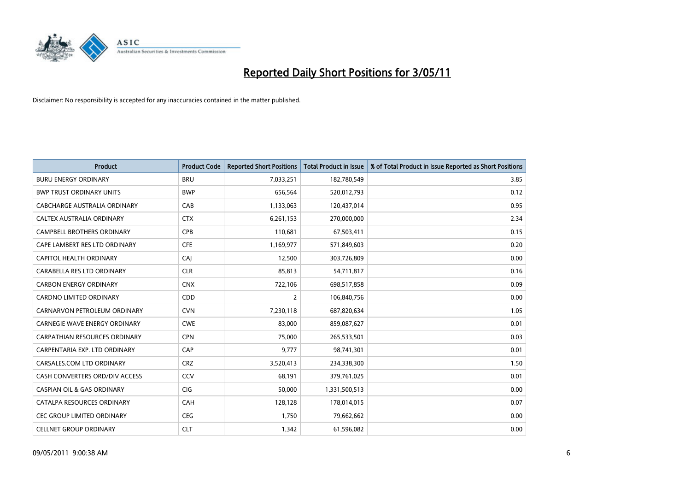

| <b>Product</b>                        | <b>Product Code</b> | <b>Reported Short Positions</b> | <b>Total Product in Issue</b> | % of Total Product in Issue Reported as Short Positions |
|---------------------------------------|---------------------|---------------------------------|-------------------------------|---------------------------------------------------------|
| <b>BURU ENERGY ORDINARY</b>           | <b>BRU</b>          | 7,033,251                       | 182,780,549                   | 3.85                                                    |
| <b>BWP TRUST ORDINARY UNITS</b>       | <b>BWP</b>          | 656,564                         | 520,012,793                   | 0.12                                                    |
| CABCHARGE AUSTRALIA ORDINARY          | CAB                 | 1,133,063                       | 120,437,014                   | 0.95                                                    |
| CALTEX AUSTRALIA ORDINARY             | <b>CTX</b>          | 6,261,153                       | 270,000,000                   | 2.34                                                    |
| <b>CAMPBELL BROTHERS ORDINARY</b>     | <b>CPB</b>          | 110,681                         | 67,503,411                    | 0.15                                                    |
| CAPE LAMBERT RES LTD ORDINARY         | <b>CFE</b>          | 1,169,977                       | 571,849,603                   | 0.20                                                    |
| CAPITOL HEALTH ORDINARY               | CAI                 | 12,500                          | 303,726,809                   | 0.00                                                    |
| CARABELLA RES LTD ORDINARY            | <b>CLR</b>          | 85,813                          | 54,711,817                    | 0.16                                                    |
| <b>CARBON ENERGY ORDINARY</b>         | <b>CNX</b>          | 722,106                         | 698,517,858                   | 0.09                                                    |
| <b>CARDNO LIMITED ORDINARY</b>        | CDD                 | $\overline{2}$                  | 106,840,756                   | 0.00                                                    |
| CARNARVON PETROLEUM ORDINARY          | <b>CVN</b>          | 7,230,118                       | 687,820,634                   | 1.05                                                    |
| <b>CARNEGIE WAVE ENERGY ORDINARY</b>  | <b>CWE</b>          | 83,000                          | 859,087,627                   | 0.01                                                    |
| CARPATHIAN RESOURCES ORDINARY         | <b>CPN</b>          | 75,000                          | 265,533,501                   | 0.03                                                    |
| CARPENTARIA EXP. LTD ORDINARY         | CAP                 | 9,777                           | 98,741,301                    | 0.01                                                    |
| CARSALES.COM LTD ORDINARY             | <b>CRZ</b>          | 3,520,413                       | 234,338,300                   | 1.50                                                    |
| CASH CONVERTERS ORD/DIV ACCESS        | CCV                 | 68,191                          | 379,761,025                   | 0.01                                                    |
| <b>CASPIAN OIL &amp; GAS ORDINARY</b> | CIG                 | 50,000                          | 1,331,500,513                 | 0.00                                                    |
| CATALPA RESOURCES ORDINARY            | <b>CAH</b>          | 128,128                         | 178,014,015                   | 0.07                                                    |
| CEC GROUP LIMITED ORDINARY            | <b>CEG</b>          | 1,750                           | 79,662,662                    | 0.00                                                    |
| <b>CELLNET GROUP ORDINARY</b>         | <b>CLT</b>          | 1,342                           | 61,596,082                    | 0.00                                                    |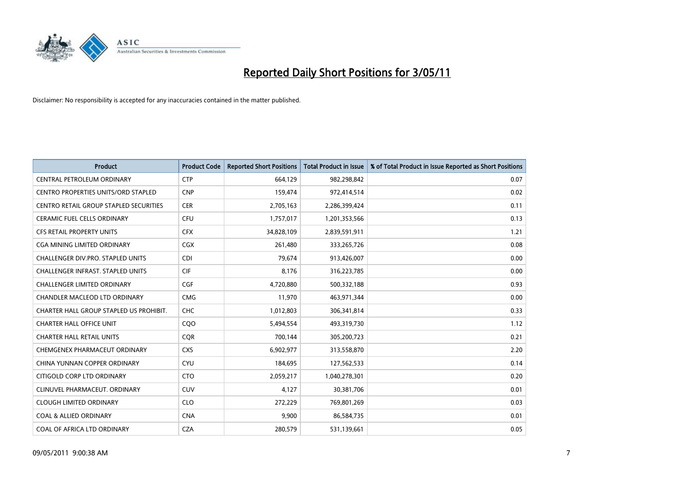

| <b>Product</b>                                | <b>Product Code</b> | <b>Reported Short Positions</b> | Total Product in Issue | % of Total Product in Issue Reported as Short Positions |
|-----------------------------------------------|---------------------|---------------------------------|------------------------|---------------------------------------------------------|
| CENTRAL PETROLEUM ORDINARY                    | <b>CTP</b>          | 664,129                         | 982,298,842            | 0.07                                                    |
| CENTRO PROPERTIES UNITS/ORD STAPLED           | <b>CNP</b>          | 159,474                         | 972,414,514            | 0.02                                                    |
| <b>CENTRO RETAIL GROUP STAPLED SECURITIES</b> | <b>CER</b>          | 2,705,163                       | 2,286,399,424          | 0.11                                                    |
| CERAMIC FUEL CELLS ORDINARY                   | <b>CFU</b>          | 1,757,017                       | 1,201,353,566          | 0.13                                                    |
| <b>CFS RETAIL PROPERTY UNITS</b>              | <b>CFX</b>          | 34,828,109                      | 2,839,591,911          | 1.21                                                    |
| CGA MINING LIMITED ORDINARY                   | <b>CGX</b>          | 261,480                         | 333,265,726            | 0.08                                                    |
| CHALLENGER DIV.PRO. STAPLED UNITS             | <b>CDI</b>          | 79.674                          | 913,426,007            | 0.00                                                    |
| CHALLENGER INFRAST. STAPLED UNITS             | <b>CIF</b>          | 8,176                           | 316,223,785            | 0.00                                                    |
| CHALLENGER LIMITED ORDINARY                   | <b>CGF</b>          | 4,720,880                       | 500,332,188            | 0.93                                                    |
| CHANDLER MACLEOD LTD ORDINARY                 | <b>CMG</b>          | 11,970                          | 463,971,344            | 0.00                                                    |
| CHARTER HALL GROUP STAPLED US PROHIBIT.       | <b>CHC</b>          | 1,012,803                       | 306,341,814            | 0.33                                                    |
| <b>CHARTER HALL OFFICE UNIT</b>               | COO                 | 5,494,554                       | 493,319,730            | 1.12                                                    |
| <b>CHARTER HALL RETAIL UNITS</b>              | <b>COR</b>          | 700,144                         | 305,200,723            | 0.21                                                    |
| CHEMGENEX PHARMACEUT ORDINARY                 | <b>CXS</b>          | 6,902,977                       | 313,558,870            | 2.20                                                    |
| CHINA YUNNAN COPPER ORDINARY                  | <b>CYU</b>          | 184,695                         | 127,562,533            | 0.14                                                    |
| CITIGOLD CORP LTD ORDINARY                    | <b>CTO</b>          | 2,059,217                       | 1,040,278,301          | 0.20                                                    |
| CLINUVEL PHARMACEUT, ORDINARY                 | <b>CUV</b>          | 4,127                           | 30,381,706             | 0.01                                                    |
| <b>CLOUGH LIMITED ORDINARY</b>                | <b>CLO</b>          | 272,229                         | 769,801,269            | 0.03                                                    |
| <b>COAL &amp; ALLIED ORDINARY</b>             | <b>CNA</b>          | 9,900                           | 86,584,735             | 0.01                                                    |
| COAL OF AFRICA LTD ORDINARY                   | <b>CZA</b>          | 280,579                         | 531,139,661            | 0.05                                                    |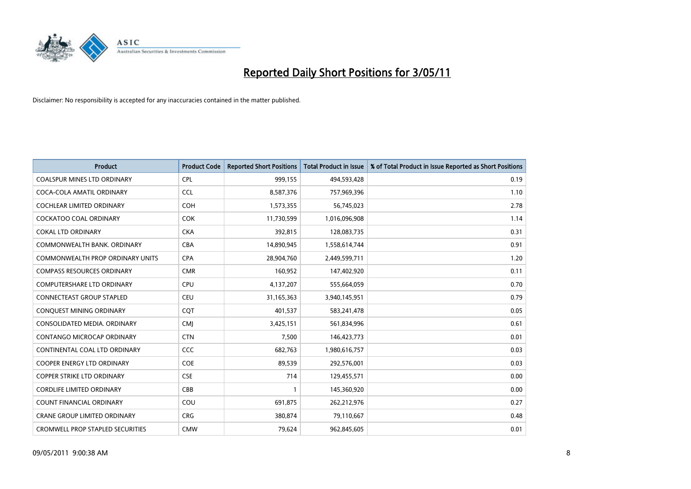

| <b>Product</b>                          | <b>Product Code</b> | <b>Reported Short Positions</b> | <b>Total Product in Issue</b> | % of Total Product in Issue Reported as Short Positions |
|-----------------------------------------|---------------------|---------------------------------|-------------------------------|---------------------------------------------------------|
| <b>COALSPUR MINES LTD ORDINARY</b>      | <b>CPL</b>          | 999,155                         | 494,593,428                   | 0.19                                                    |
| COCA-COLA AMATIL ORDINARY               | <b>CCL</b>          | 8,587,376                       | 757,969,396                   | 1.10                                                    |
| <b>COCHLEAR LIMITED ORDINARY</b>        | <b>COH</b>          | 1,573,355                       | 56,745,023                    | 2.78                                                    |
| COCKATOO COAL ORDINARY                  | <b>COK</b>          | 11,730,599                      | 1,016,096,908                 | 1.14                                                    |
| <b>COKAL LTD ORDINARY</b>               | <b>CKA</b>          | 392,815                         | 128,083,735                   | 0.31                                                    |
| COMMONWEALTH BANK, ORDINARY             | <b>CBA</b>          | 14,890,945                      | 1,558,614,744                 | 0.91                                                    |
| COMMONWEALTH PROP ORDINARY UNITS        | <b>CPA</b>          | 28,904,760                      | 2,449,599,711                 | 1.20                                                    |
| <b>COMPASS RESOURCES ORDINARY</b>       | <b>CMR</b>          | 160,952                         | 147,402,920                   | 0.11                                                    |
| <b>COMPUTERSHARE LTD ORDINARY</b>       | <b>CPU</b>          | 4,137,207                       | 555,664,059                   | 0.70                                                    |
| <b>CONNECTEAST GROUP STAPLED</b>        | <b>CEU</b>          | 31,165,363                      | 3,940,145,951                 | 0.79                                                    |
| CONQUEST MINING ORDINARY                | <b>COT</b>          | 401,537                         | 583,241,478                   | 0.05                                                    |
| CONSOLIDATED MEDIA. ORDINARY            | <b>CMJ</b>          | 3,425,151                       | 561,834,996                   | 0.61                                                    |
| CONTANGO MICROCAP ORDINARY              | <b>CTN</b>          | 7,500                           | 146,423,773                   | 0.01                                                    |
| CONTINENTAL COAL LTD ORDINARY           | CCC                 | 682,763                         | 1,980,616,757                 | 0.03                                                    |
| <b>COOPER ENERGY LTD ORDINARY</b>       | <b>COE</b>          | 89,539                          | 292,576,001                   | 0.03                                                    |
| COPPER STRIKE LTD ORDINARY              | <b>CSE</b>          | 714                             | 129,455,571                   | 0.00                                                    |
| <b>CORDLIFE LIMITED ORDINARY</b>        | CBB                 |                                 | 145,360,920                   | 0.00                                                    |
| COUNT FINANCIAL ORDINARY                | COU                 | 691,875                         | 262,212,976                   | 0.27                                                    |
| <b>CRANE GROUP LIMITED ORDINARY</b>     | <b>CRG</b>          | 380,874                         | 79,110,667                    | 0.48                                                    |
| <b>CROMWELL PROP STAPLED SECURITIES</b> | <b>CMW</b>          | 79,624                          | 962,845,605                   | 0.01                                                    |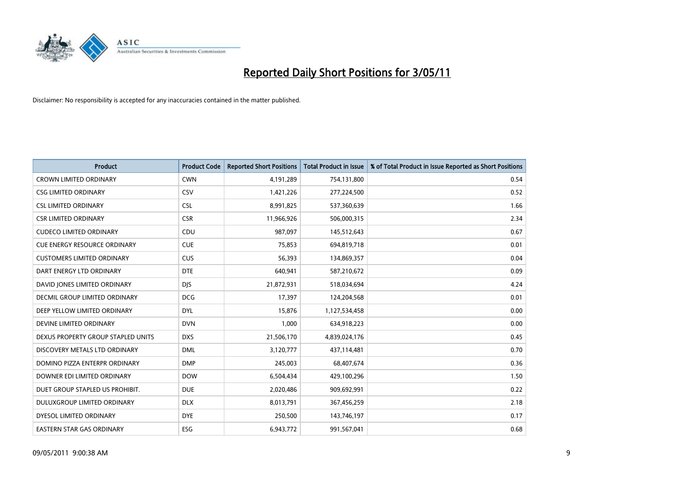

| <b>Product</b>                       | <b>Product Code</b> | <b>Reported Short Positions</b> | Total Product in Issue | % of Total Product in Issue Reported as Short Positions |
|--------------------------------------|---------------------|---------------------------------|------------------------|---------------------------------------------------------|
| <b>CROWN LIMITED ORDINARY</b>        | <b>CWN</b>          | 4,191,289                       | 754,131,800            | 0.54                                                    |
| <b>CSG LIMITED ORDINARY</b>          | CSV                 | 1,421,226                       | 277,224,500            | 0.52                                                    |
| <b>CSL LIMITED ORDINARY</b>          | <b>CSL</b>          | 8,991,825                       | 537,360,639            | 1.66                                                    |
| <b>CSR LIMITED ORDINARY</b>          | <b>CSR</b>          | 11,966,926                      | 506,000,315            | 2.34                                                    |
| <b>CUDECO LIMITED ORDINARY</b>       | CDU                 | 987.097                         | 145,512,643            | 0.67                                                    |
| <b>CUE ENERGY RESOURCE ORDINARY</b>  | <b>CUE</b>          | 75,853                          | 694,819,718            | 0.01                                                    |
| <b>CUSTOMERS LIMITED ORDINARY</b>    | CUS                 | 56,393                          | 134,869,357            | 0.04                                                    |
| DART ENERGY LTD ORDINARY             | <b>DTE</b>          | 640,941                         | 587,210,672            | 0.09                                                    |
| DAVID JONES LIMITED ORDINARY         | <b>DJS</b>          | 21,872,931                      | 518,034,694            | 4.24                                                    |
| <b>DECMIL GROUP LIMITED ORDINARY</b> | <b>DCG</b>          | 17,397                          | 124,204,568            | 0.01                                                    |
| DEEP YELLOW LIMITED ORDINARY         | <b>DYL</b>          | 15,876                          | 1,127,534,458          | 0.00                                                    |
| DEVINE LIMITED ORDINARY              | <b>DVN</b>          | 1,000                           | 634,918,223            | 0.00                                                    |
| DEXUS PROPERTY GROUP STAPLED UNITS   | <b>DXS</b>          | 21,506,170                      | 4,839,024,176          | 0.45                                                    |
| DISCOVERY METALS LTD ORDINARY        | <b>DML</b>          | 3,120,777                       | 437,114,481            | 0.70                                                    |
| DOMINO PIZZA ENTERPR ORDINARY        | <b>DMP</b>          | 245,003                         | 68,407,674             | 0.36                                                    |
| DOWNER EDI LIMITED ORDINARY          | <b>DOW</b>          | 6,504,434                       | 429,100,296            | 1.50                                                    |
| DUET GROUP STAPLED US PROHIBIT.      | <b>DUE</b>          | 2,020,486                       | 909,692,991            | 0.22                                                    |
| DULUXGROUP LIMITED ORDINARY          | <b>DLX</b>          | 8,013,791                       | 367,456,259            | 2.18                                                    |
| DYESOL LIMITED ORDINARY              | <b>DYE</b>          | 250,500                         | 143,746,197            | 0.17                                                    |
| EASTERN STAR GAS ORDINARY            | <b>ESG</b>          | 6,943,772                       | 991,567,041            | 0.68                                                    |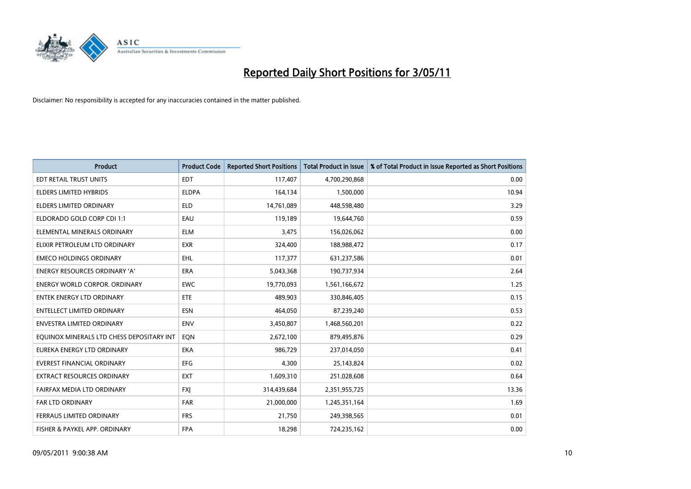

| <b>Product</b>                            | <b>Product Code</b> | <b>Reported Short Positions</b> | <b>Total Product in Issue</b> | % of Total Product in Issue Reported as Short Positions |
|-------------------------------------------|---------------------|---------------------------------|-------------------------------|---------------------------------------------------------|
| EDT RETAIL TRUST UNITS                    | <b>EDT</b>          | 117,407                         | 4,700,290,868                 | 0.00                                                    |
| ELDERS LIMITED HYBRIDS                    | <b>ELDPA</b>        | 164,134                         | 1,500,000                     | 10.94                                                   |
| ELDERS LIMITED ORDINARY                   | <b>ELD</b>          | 14,761,089                      | 448,598,480                   | 3.29                                                    |
| ELDORADO GOLD CORP CDI 1:1                | EAU                 | 119,189                         | 19,644,760                    | 0.59                                                    |
| ELEMENTAL MINERALS ORDINARY               | <b>ELM</b>          | 3,475                           | 156,026,062                   | 0.00                                                    |
| ELIXIR PETROLEUM LTD ORDINARY             | <b>EXR</b>          | 324,400                         | 188,988,472                   | 0.17                                                    |
| <b>EMECO HOLDINGS ORDINARY</b>            | <b>EHL</b>          | 117,377                         | 631,237,586                   | 0.01                                                    |
| <b>ENERGY RESOURCES ORDINARY 'A'</b>      | <b>ERA</b>          | 5,043,368                       | 190,737,934                   | 2.64                                                    |
| <b>ENERGY WORLD CORPOR. ORDINARY</b>      | <b>EWC</b>          | 19,770,093                      | 1,561,166,672                 | 1.25                                                    |
| <b>ENTEK ENERGY LTD ORDINARY</b>          | ETE                 | 489.903                         | 330,846,405                   | 0.15                                                    |
| ENTELLECT LIMITED ORDINARY                | <b>ESN</b>          | 464,050                         | 87,239,240                    | 0.53                                                    |
| <b>ENVESTRA LIMITED ORDINARY</b>          | <b>ENV</b>          | 3,450,807                       | 1,468,560,201                 | 0.22                                                    |
| EQUINOX MINERALS LTD CHESS DEPOSITARY INT | EQN                 | 2,672,100                       | 879,495,876                   | 0.29                                                    |
| EUREKA ENERGY LTD ORDINARY                | <b>EKA</b>          | 986,729                         | 237,014,050                   | 0.41                                                    |
| <b>EVEREST FINANCIAL ORDINARY</b>         | <b>EFG</b>          | 4,300                           | 25,143,824                    | 0.02                                                    |
| EXTRACT RESOURCES ORDINARY                | <b>EXT</b>          | 1,609,310                       | 251,028,608                   | 0.64                                                    |
| FAIRFAX MEDIA LTD ORDINARY                | <b>FXI</b>          | 314,439,684                     | 2,351,955,725                 | 13.36                                                   |
| <b>FAR LTD ORDINARY</b>                   | <b>FAR</b>          | 21,000,000                      | 1,245,351,164                 | 1.69                                                    |
| FERRAUS LIMITED ORDINARY                  | <b>FRS</b>          | 21,750                          | 249,398,565                   | 0.01                                                    |
| FISHER & PAYKEL APP. ORDINARY             | <b>FPA</b>          | 18,298                          | 724,235,162                   | 0.00                                                    |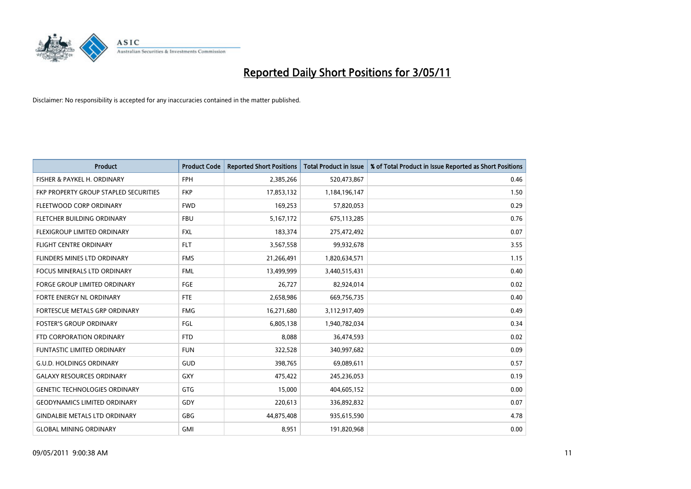

| <b>Product</b>                        | <b>Product Code</b> | <b>Reported Short Positions</b> | <b>Total Product in Issue</b> | % of Total Product in Issue Reported as Short Positions |
|---------------------------------------|---------------------|---------------------------------|-------------------------------|---------------------------------------------------------|
| FISHER & PAYKEL H. ORDINARY           | <b>FPH</b>          | 2,385,266                       | 520,473,867                   | 0.46                                                    |
| FKP PROPERTY GROUP STAPLED SECURITIES | <b>FKP</b>          | 17,853,132                      | 1,184,196,147                 | 1.50                                                    |
| FLEETWOOD CORP ORDINARY               | <b>FWD</b>          | 169,253                         | 57,820,053                    | 0.29                                                    |
| FLETCHER BUILDING ORDINARY            | <b>FBU</b>          | 5,167,172                       | 675,113,285                   | 0.76                                                    |
| FLEXIGROUP LIMITED ORDINARY           | <b>FXL</b>          | 183,374                         | 275,472,492                   | 0.07                                                    |
| <b>FLIGHT CENTRE ORDINARY</b>         | <b>FLT</b>          | 3,567,558                       | 99,932,678                    | 3.55                                                    |
| <b>FLINDERS MINES LTD ORDINARY</b>    | <b>FMS</b>          | 21,266,491                      | 1,820,634,571                 | 1.15                                                    |
| <b>FOCUS MINERALS LTD ORDINARY</b>    | <b>FML</b>          | 13,499,999                      | 3,440,515,431                 | 0.40                                                    |
| FORGE GROUP LIMITED ORDINARY          | FGE                 | 26,727                          | 82,924,014                    | 0.02                                                    |
| FORTE ENERGY NL ORDINARY              | <b>FTE</b>          | 2,658,986                       | 669,756,735                   | 0.40                                                    |
| FORTESCUE METALS GRP ORDINARY         | <b>FMG</b>          | 16,271,680                      | 3,112,917,409                 | 0.49                                                    |
| <b>FOSTER'S GROUP ORDINARY</b>        | FGL                 | 6,805,138                       | 1,940,782,034                 | 0.34                                                    |
| FTD CORPORATION ORDINARY              | <b>FTD</b>          | 8,088                           | 36,474,593                    | 0.02                                                    |
| <b>FUNTASTIC LIMITED ORDINARY</b>     | <b>FUN</b>          | 322,528                         | 340,997,682                   | 0.09                                                    |
| <b>G.U.D. HOLDINGS ORDINARY</b>       | <b>GUD</b>          | 398,765                         | 69,089,611                    | 0.57                                                    |
| <b>GALAXY RESOURCES ORDINARY</b>      | <b>GXY</b>          | 475,422                         | 245,236,053                   | 0.19                                                    |
| <b>GENETIC TECHNOLOGIES ORDINARY</b>  | GTG                 | 15,000                          | 404,605,152                   | 0.00                                                    |
| <b>GEODYNAMICS LIMITED ORDINARY</b>   | GDY                 | 220,613                         | 336,892,832                   | 0.07                                                    |
| <b>GINDALBIE METALS LTD ORDINARY</b>  | <b>GBG</b>          | 44,875,408                      | 935,615,590                   | 4.78                                                    |
| <b>GLOBAL MINING ORDINARY</b>         | <b>GMI</b>          | 8,951                           | 191,820,968                   | 0.00                                                    |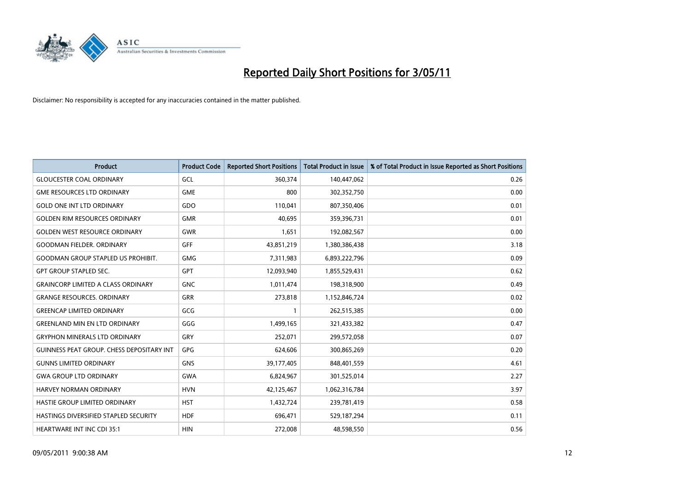

| <b>Product</b>                                   | <b>Product Code</b> | <b>Reported Short Positions</b> | <b>Total Product in Issue</b> | % of Total Product in Issue Reported as Short Positions |
|--------------------------------------------------|---------------------|---------------------------------|-------------------------------|---------------------------------------------------------|
| <b>GLOUCESTER COAL ORDINARY</b>                  | GCL                 | 360,374                         | 140,447,062                   | 0.26                                                    |
| <b>GME RESOURCES LTD ORDINARY</b>                | <b>GME</b>          | 800                             | 302,352,750                   | 0.00                                                    |
| <b>GOLD ONE INT LTD ORDINARY</b>                 | GDO                 | 110,041                         | 807,350,406                   | 0.01                                                    |
| <b>GOLDEN RIM RESOURCES ORDINARY</b>             | <b>GMR</b>          | 40,695                          | 359,396,731                   | 0.01                                                    |
| <b>GOLDEN WEST RESOURCE ORDINARY</b>             | <b>GWR</b>          | 1,651                           | 192,082,567                   | 0.00                                                    |
| <b>GOODMAN FIELDER, ORDINARY</b>                 | <b>GFF</b>          | 43,851,219                      | 1,380,386,438                 | 3.18                                                    |
| <b>GOODMAN GROUP STAPLED US PROHIBIT.</b>        | <b>GMG</b>          | 7,311,983                       | 6,893,222,796                 | 0.09                                                    |
| <b>GPT GROUP STAPLED SEC.</b>                    | <b>GPT</b>          | 12,093,940                      | 1,855,529,431                 | 0.62                                                    |
| <b>GRAINCORP LIMITED A CLASS ORDINARY</b>        | <b>GNC</b>          | 1,011,474                       | 198,318,900                   | 0.49                                                    |
| <b>GRANGE RESOURCES, ORDINARY</b>                | <b>GRR</b>          | 273,818                         | 1,152,846,724                 | 0.02                                                    |
| <b>GREENCAP LIMITED ORDINARY</b>                 | GCG                 |                                 | 262,515,385                   | 0.00                                                    |
| <b>GREENLAND MIN EN LTD ORDINARY</b>             | GGG                 | 1,499,165                       | 321,433,382                   | 0.47                                                    |
| <b>GRYPHON MINERALS LTD ORDINARY</b>             | GRY                 | 252,071                         | 299,572,058                   | 0.07                                                    |
| <b>GUINNESS PEAT GROUP. CHESS DEPOSITARY INT</b> | <b>GPG</b>          | 624,606                         | 300,865,269                   | 0.20                                                    |
| <b>GUNNS LIMITED ORDINARY</b>                    | <b>GNS</b>          | 39,177,405                      | 848,401,559                   | 4.61                                                    |
| <b>GWA GROUP LTD ORDINARY</b>                    | <b>GWA</b>          | 6,824,967                       | 301,525,014                   | 2.27                                                    |
| HARVEY NORMAN ORDINARY                           | <b>HVN</b>          | 42,125,467                      | 1,062,316,784                 | 3.97                                                    |
| <b>HASTIE GROUP LIMITED ORDINARY</b>             | <b>HST</b>          | 1,432,724                       | 239,781,419                   | 0.58                                                    |
| HASTINGS DIVERSIFIED STAPLED SECURITY            | <b>HDF</b>          | 696,471                         | 529,187,294                   | 0.11                                                    |
| <b>HEARTWARE INT INC CDI 35:1</b>                | <b>HIN</b>          | 272,008                         | 48,598,550                    | 0.56                                                    |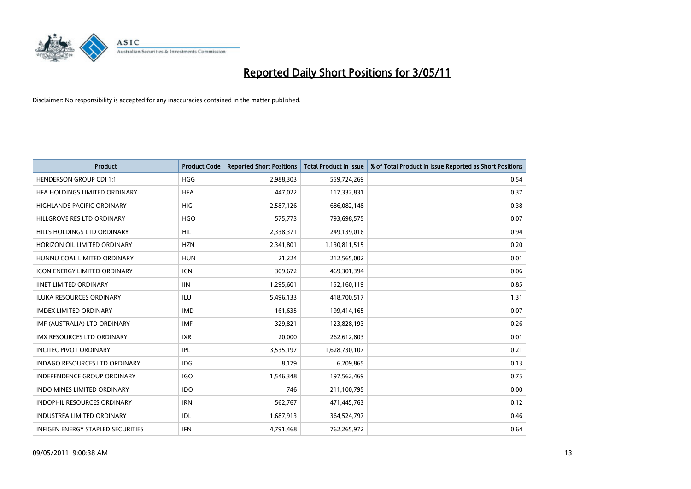

| <b>Product</b>                           | <b>Product Code</b> | <b>Reported Short Positions</b> | Total Product in Issue | % of Total Product in Issue Reported as Short Positions |
|------------------------------------------|---------------------|---------------------------------|------------------------|---------------------------------------------------------|
| <b>HENDERSON GROUP CDI 1:1</b>           | <b>HGG</b>          | 2,988,303                       | 559,724,269            | 0.54                                                    |
| HFA HOLDINGS LIMITED ORDINARY            | <b>HFA</b>          | 447,022                         | 117,332,831            | 0.37                                                    |
| <b>HIGHLANDS PACIFIC ORDINARY</b>        | <b>HIG</b>          | 2,587,126                       | 686,082,148            | 0.38                                                    |
| HILLGROVE RES LTD ORDINARY               | <b>HGO</b>          | 575,773                         | 793,698,575            | 0.07                                                    |
| HILLS HOLDINGS LTD ORDINARY              | <b>HIL</b>          | 2,338,371                       | 249,139,016            | 0.94                                                    |
| HORIZON OIL LIMITED ORDINARY             | <b>HZN</b>          | 2,341,801                       | 1,130,811,515          | 0.20                                                    |
| HUNNU COAL LIMITED ORDINARY              | <b>HUN</b>          | 21,224                          | 212,565,002            | 0.01                                                    |
| <b>ICON ENERGY LIMITED ORDINARY</b>      | <b>ICN</b>          | 309,672                         | 469,301,394            | 0.06                                                    |
| <b>IINET LIMITED ORDINARY</b>            | <b>IIN</b>          | 1,295,601                       | 152,160,119            | 0.85                                                    |
| <b>ILUKA RESOURCES ORDINARY</b>          | ILU                 | 5,496,133                       | 418,700,517            | 1.31                                                    |
| <b>IMDEX LIMITED ORDINARY</b>            | <b>IMD</b>          | 161,635                         | 199,414,165            | 0.07                                                    |
| IMF (AUSTRALIA) LTD ORDINARY             | <b>IMF</b>          | 329,821                         | 123,828,193            | 0.26                                                    |
| <b>IMX RESOURCES LTD ORDINARY</b>        | <b>IXR</b>          | 20.000                          | 262,612,803            | 0.01                                                    |
| <b>INCITEC PIVOT ORDINARY</b>            | <b>IPL</b>          | 3,535,197                       | 1,628,730,107          | 0.21                                                    |
| INDAGO RESOURCES LTD ORDINARY            | IDG                 | 8,179                           | 6,209,865              | 0.13                                                    |
| <b>INDEPENDENCE GROUP ORDINARY</b>       | <b>IGO</b>          | 1,546,348                       | 197,562,469            | 0.75                                                    |
| <b>INDO MINES LIMITED ORDINARY</b>       | <b>IDO</b>          | 746                             | 211,100,795            | 0.00                                                    |
| INDOPHIL RESOURCES ORDINARY              | <b>IRN</b>          | 562,767                         | 471,445,763            | 0.12                                                    |
| <b>INDUSTREA LIMITED ORDINARY</b>        | IDL                 | 1,687,913                       | 364,524,797            | 0.46                                                    |
| <b>INFIGEN ENERGY STAPLED SECURITIES</b> | <b>IFN</b>          | 4,791,468                       | 762,265,972            | 0.64                                                    |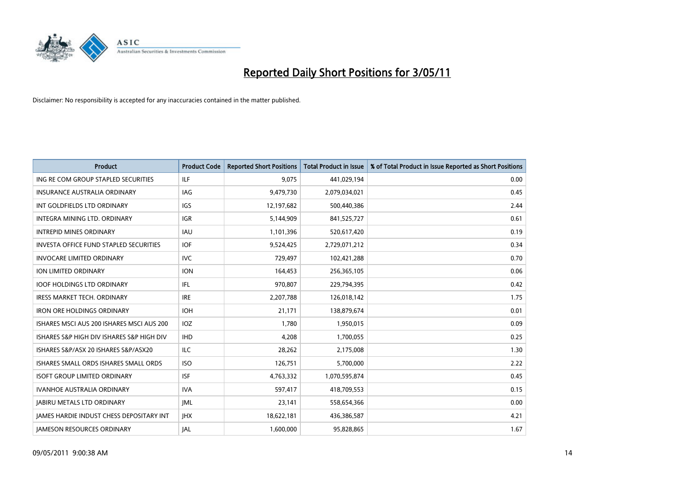

| <b>Product</b>                                  | <b>Product Code</b> | <b>Reported Short Positions</b> | Total Product in Issue | % of Total Product in Issue Reported as Short Positions |
|-------------------------------------------------|---------------------|---------------------------------|------------------------|---------------------------------------------------------|
| ING RE COM GROUP STAPLED SECURITIES             | <b>ILF</b>          | 9,075                           | 441,029,194            | 0.00                                                    |
| <b>INSURANCE AUSTRALIA ORDINARY</b>             | <b>IAG</b>          | 9,479,730                       | 2,079,034,021          | 0.45                                                    |
| INT GOLDFIELDS LTD ORDINARY                     | <b>IGS</b>          | 12,197,682                      | 500,440,386            | 2.44                                                    |
| INTEGRA MINING LTD. ORDINARY                    | <b>IGR</b>          | 5,144,909                       | 841,525,727            | 0.61                                                    |
| <b>INTREPID MINES ORDINARY</b>                  | <b>IAU</b>          | 1,101,396                       | 520,617,420            | 0.19                                                    |
| <b>INVESTA OFFICE FUND STAPLED SECURITIES</b>   | <b>IOF</b>          | 9,524,425                       | 2,729,071,212          | 0.34                                                    |
| <b>INVOCARE LIMITED ORDINARY</b>                | <b>IVC</b>          | 729.497                         | 102,421,288            | 0.70                                                    |
| <b>ION LIMITED ORDINARY</b>                     | <b>ION</b>          | 164,453                         | 256,365,105            | 0.06                                                    |
| <b>IOOF HOLDINGS LTD ORDINARY</b>               | IFL                 | 970,807                         | 229,794,395            | 0.42                                                    |
| <b>IRESS MARKET TECH. ORDINARY</b>              | <b>IRE</b>          | 2,207,788                       | 126,018,142            | 1.75                                                    |
| <b>IRON ORE HOLDINGS ORDINARY</b>               | <b>IOH</b>          | 21,171                          | 138,879,674            | 0.01                                                    |
| ISHARES MSCI AUS 200 ISHARES MSCI AUS 200       | <b>IOZ</b>          | 1,780                           | 1,950,015              | 0.09                                                    |
| ISHARES S&P HIGH DIV ISHARES S&P HIGH DIV       | <b>IHD</b>          | 4.208                           | 1,700,055              | 0.25                                                    |
| ISHARES S&P/ASX 20 ISHARES S&P/ASX20            | <b>ILC</b>          | 28.262                          | 2,175,008              | 1.30                                                    |
| ISHARES SMALL ORDS ISHARES SMALL ORDS           | <b>ISO</b>          | 126,751                         | 5,700,000              | 2.22                                                    |
| <b>ISOFT GROUP LIMITED ORDINARY</b>             | <b>ISF</b>          | 4,763,332                       | 1,070,595,874          | 0.45                                                    |
| <b>IVANHOE AUSTRALIA ORDINARY</b>               | <b>IVA</b>          | 597,417                         | 418,709,553            | 0.15                                                    |
| <b>JABIRU METALS LTD ORDINARY</b>               | <b>IML</b>          | 23,141                          | 558,654,366            | 0.00                                                    |
| <b>IAMES HARDIE INDUST CHESS DEPOSITARY INT</b> | <b>IHX</b>          | 18,622,181                      | 436,386,587            | 4.21                                                    |
| <b>JAMESON RESOURCES ORDINARY</b>               | <b>JAL</b>          | 1,600,000                       | 95,828,865             | 1.67                                                    |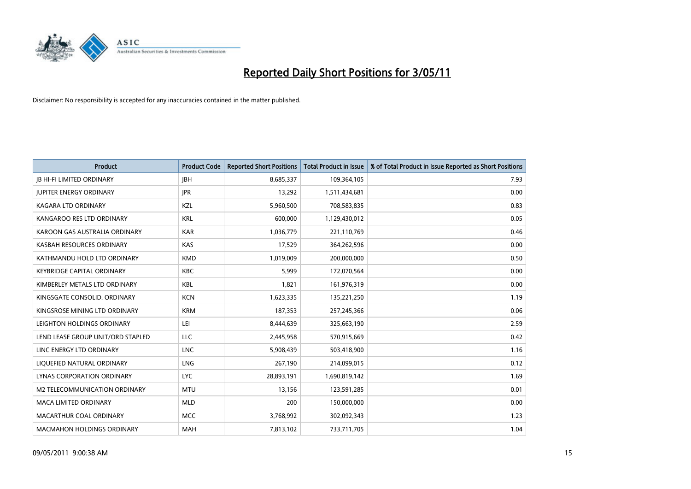

| <b>Product</b>                    | <b>Product Code</b> | <b>Reported Short Positions</b> | <b>Total Product in Issue</b> | % of Total Product in Issue Reported as Short Positions |
|-----------------------------------|---------------------|---------------------------------|-------------------------------|---------------------------------------------------------|
| <b>JB HI-FI LIMITED ORDINARY</b>  | <b>IBH</b>          | 8,685,337                       | 109,364,105                   | 7.93                                                    |
| <b>JUPITER ENERGY ORDINARY</b>    | <b>JPR</b>          | 13,292                          | 1,511,434,681                 | 0.00                                                    |
| KAGARA LTD ORDINARY               | KZL                 | 5,960,500                       | 708,583,835                   | 0.83                                                    |
| KANGAROO RES LTD ORDINARY         | <b>KRL</b>          | 600,000                         | 1,129,430,012                 | 0.05                                                    |
| KAROON GAS AUSTRALIA ORDINARY     | <b>KAR</b>          | 1,036,779                       | 221,110,769                   | 0.46                                                    |
| KASBAH RESOURCES ORDINARY         | <b>KAS</b>          | 17,529                          | 364,262,596                   | 0.00                                                    |
| KATHMANDU HOLD LTD ORDINARY       | <b>KMD</b>          | 1,019,009                       | 200,000,000                   | 0.50                                                    |
| <b>KEYBRIDGE CAPITAL ORDINARY</b> | <b>KBC</b>          | 5,999                           | 172,070,564                   | 0.00                                                    |
| KIMBERLEY METALS LTD ORDINARY     | <b>KBL</b>          | 1,821                           | 161,976,319                   | 0.00                                                    |
| KINGSGATE CONSOLID. ORDINARY      | <b>KCN</b>          | 1,623,335                       | 135,221,250                   | 1.19                                                    |
| KINGSROSE MINING LTD ORDINARY     | <b>KRM</b>          | 187,353                         | 257,245,366                   | 0.06                                                    |
| LEIGHTON HOLDINGS ORDINARY        | LEI                 | 8,444,639                       | 325,663,190                   | 2.59                                                    |
| LEND LEASE GROUP UNIT/ORD STAPLED | LLC                 | 2,445,958                       | 570,915,669                   | 0.42                                                    |
| LINC ENERGY LTD ORDINARY          | <b>LNC</b>          | 5,908,439                       | 503,418,900                   | 1.16                                                    |
| LIQUEFIED NATURAL ORDINARY        | LNG                 | 267,190                         | 214,099,015                   | 0.12                                                    |
| LYNAS CORPORATION ORDINARY        | <b>LYC</b>          | 28,893,191                      | 1,690,819,142                 | 1.69                                                    |
| M2 TELECOMMUNICATION ORDINARY     | <b>MTU</b>          | 13,156                          | 123,591,285                   | 0.01                                                    |
| MACA LIMITED ORDINARY             | <b>MLD</b>          | 200                             | 150,000,000                   | 0.00                                                    |
| MACARTHUR COAL ORDINARY           | <b>MCC</b>          | 3,768,992                       | 302,092,343                   | 1.23                                                    |
| <b>MACMAHON HOLDINGS ORDINARY</b> | MAH                 | 7,813,102                       | 733,711,705                   | 1.04                                                    |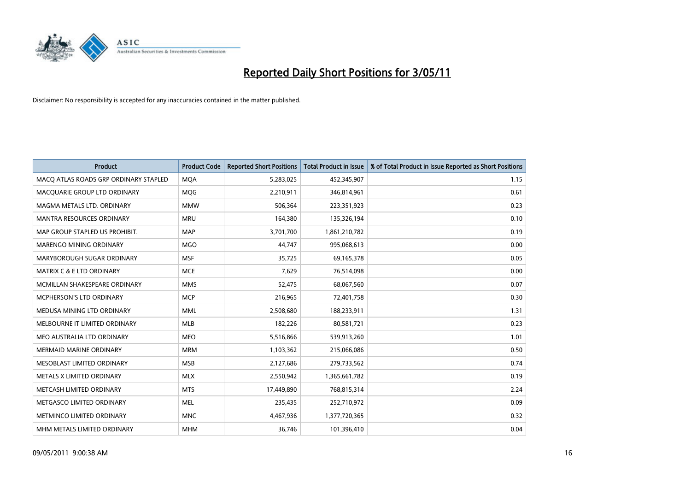

| <b>Product</b>                        | <b>Product Code</b> | <b>Reported Short Positions</b> | <b>Total Product in Issue</b> | % of Total Product in Issue Reported as Short Positions |
|---------------------------------------|---------------------|---------------------------------|-------------------------------|---------------------------------------------------------|
| MACQ ATLAS ROADS GRP ORDINARY STAPLED | <b>MQA</b>          | 5,283,025                       | 452,345,907                   | 1.15                                                    |
| MACQUARIE GROUP LTD ORDINARY          | <b>MOG</b>          | 2,210,911                       | 346,814,961                   | 0.61                                                    |
| MAGMA METALS LTD. ORDINARY            | <b>MMW</b>          | 506,364                         | 223,351,923                   | 0.23                                                    |
| MANTRA RESOURCES ORDINARY             | <b>MRU</b>          | 164,380                         | 135,326,194                   | 0.10                                                    |
| MAP GROUP STAPLED US PROHIBIT.        | <b>MAP</b>          | 3,701,700                       | 1,861,210,782                 | 0.19                                                    |
| MARENGO MINING ORDINARY               | <b>MGO</b>          | 44,747                          | 995,068,613                   | 0.00                                                    |
| MARYBOROUGH SUGAR ORDINARY            | <b>MSF</b>          | 35,725                          | 69,165,378                    | 0.05                                                    |
| MATRIX C & E LTD ORDINARY             | <b>MCE</b>          | 7,629                           | 76,514,098                    | 0.00                                                    |
| MCMILLAN SHAKESPEARE ORDINARY         | <b>MMS</b>          | 52,475                          | 68,067,560                    | 0.07                                                    |
| MCPHERSON'S LTD ORDINARY              | <b>MCP</b>          | 216,965                         | 72,401,758                    | 0.30                                                    |
| MEDUSA MINING LTD ORDINARY            | <b>MML</b>          | 2,508,680                       | 188,233,911                   | 1.31                                                    |
| MELBOURNE IT LIMITED ORDINARY         | <b>MLB</b>          | 182,226                         | 80,581,721                    | 0.23                                                    |
| MEO AUSTRALIA LTD ORDINARY            | <b>MEO</b>          | 5,516,866                       | 539,913,260                   | 1.01                                                    |
| <b>MERMAID MARINE ORDINARY</b>        | <b>MRM</b>          | 1,103,362                       | 215,066,086                   | 0.50                                                    |
| MESOBLAST LIMITED ORDINARY            | <b>MSB</b>          | 2,127,686                       | 279,733,562                   | 0.74                                                    |
| METALS X LIMITED ORDINARY             | <b>MLX</b>          | 2,550,942                       | 1,365,661,782                 | 0.19                                                    |
| METCASH LIMITED ORDINARY              | <b>MTS</b>          | 17,449,890                      | 768,815,314                   | 2.24                                                    |
| METGASCO LIMITED ORDINARY             | <b>MEL</b>          | 235,435                         | 252,710,972                   | 0.09                                                    |
| METMINCO LIMITED ORDINARY             | <b>MNC</b>          | 4,467,936                       | 1,377,720,365                 | 0.32                                                    |
| MHM METALS LIMITED ORDINARY           | <b>MHM</b>          | 36,746                          | 101,396,410                   | 0.04                                                    |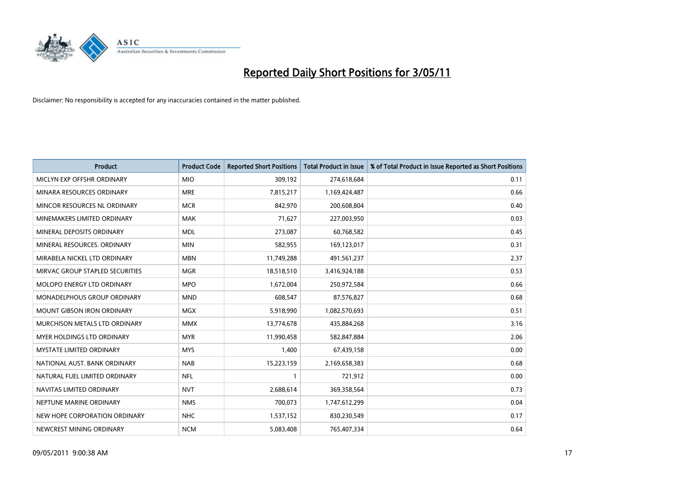

| <b>Product</b>                  | <b>Product Code</b> | <b>Reported Short Positions</b> | <b>Total Product in Issue</b> | % of Total Product in Issue Reported as Short Positions |
|---------------------------------|---------------------|---------------------------------|-------------------------------|---------------------------------------------------------|
| MICLYN EXP OFFSHR ORDINARY      | <b>MIO</b>          | 309,192                         | 274,618,684                   | 0.11                                                    |
| MINARA RESOURCES ORDINARY       | <b>MRE</b>          | 7,815,217                       | 1,169,424,487                 | 0.66                                                    |
| MINCOR RESOURCES NL ORDINARY    | <b>MCR</b>          | 842.970                         | 200,608,804                   | 0.40                                                    |
| MINEMAKERS LIMITED ORDINARY     | <b>MAK</b>          | 71,627                          | 227,003,950                   | 0.03                                                    |
| MINERAL DEPOSITS ORDINARY       | <b>MDL</b>          | 273,087                         | 60,768,582                    | 0.45                                                    |
| MINERAL RESOURCES, ORDINARY     | <b>MIN</b>          | 582,955                         | 169,123,017                   | 0.31                                                    |
| MIRABELA NICKEL LTD ORDINARY    | <b>MBN</b>          | 11,749,288                      | 491,561,237                   | 2.37                                                    |
| MIRVAC GROUP STAPLED SECURITIES | <b>MGR</b>          | 18,518,510                      | 3,416,924,188                 | 0.53                                                    |
| MOLOPO ENERGY LTD ORDINARY      | <b>MPO</b>          | 1,672,004                       | 250,972,584                   | 0.66                                                    |
| MONADELPHOUS GROUP ORDINARY     | <b>MND</b>          | 608,547                         | 87,576,827                    | 0.68                                                    |
| MOUNT GIBSON IRON ORDINARY      | <b>MGX</b>          | 5,918,990                       | 1,082,570,693                 | 0.51                                                    |
| MURCHISON METALS LTD ORDINARY   | <b>MMX</b>          | 13,774,678                      | 435,884,268                   | 3.16                                                    |
| MYER HOLDINGS LTD ORDINARY      | <b>MYR</b>          | 11,990,458                      | 582,847,884                   | 2.06                                                    |
| <b>MYSTATE LIMITED ORDINARY</b> | <b>MYS</b>          | 1,400                           | 67,439,158                    | 0.00                                                    |
| NATIONAL AUST, BANK ORDINARY    | <b>NAB</b>          | 15,223,159                      | 2,169,658,383                 | 0.68                                                    |
| NATURAL FUEL LIMITED ORDINARY   | <b>NFL</b>          |                                 | 721,912                       | 0.00                                                    |
| NAVITAS LIMITED ORDINARY        | <b>NVT</b>          | 2,688,614                       | 369,358,564                   | 0.73                                                    |
| NEPTUNE MARINE ORDINARY         | <b>NMS</b>          | 700,073                         | 1,747,612,299                 | 0.04                                                    |
| NEW HOPE CORPORATION ORDINARY   | <b>NHC</b>          | 1,537,152                       | 830,230,549                   | 0.17                                                    |
| NEWCREST MINING ORDINARY        | <b>NCM</b>          | 5,083,408                       | 765,407,334                   | 0.64                                                    |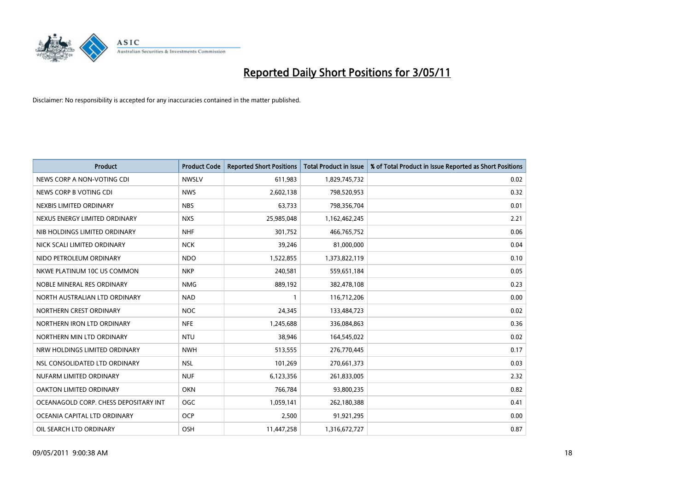

| <b>Product</b>                        | <b>Product Code</b> | <b>Reported Short Positions</b> | Total Product in Issue | % of Total Product in Issue Reported as Short Positions |
|---------------------------------------|---------------------|---------------------------------|------------------------|---------------------------------------------------------|
| NEWS CORP A NON-VOTING CDI            | <b>NWSLV</b>        | 611,983                         | 1,829,745,732          | 0.02                                                    |
| NEWS CORP B VOTING CDI                | <b>NWS</b>          | 2,602,138                       | 798,520,953            | 0.32                                                    |
| NEXBIS LIMITED ORDINARY               | <b>NBS</b>          | 63,733                          | 798,356,704            | 0.01                                                    |
| NEXUS ENERGY LIMITED ORDINARY         | <b>NXS</b>          | 25,985,048                      | 1,162,462,245          | 2.21                                                    |
| NIB HOLDINGS LIMITED ORDINARY         | <b>NHF</b>          | 301,752                         | 466,765,752            | 0.06                                                    |
| NICK SCALI LIMITED ORDINARY           | <b>NCK</b>          | 39,246                          | 81,000,000             | 0.04                                                    |
| NIDO PETROLEUM ORDINARY               | <b>NDO</b>          | 1,522,855                       | 1,373,822,119          | 0.10                                                    |
| NKWE PLATINUM 10C US COMMON           | <b>NKP</b>          | 240,581                         | 559,651,184            | 0.05                                                    |
| NOBLE MINERAL RES ORDINARY            | <b>NMG</b>          | 889,192                         | 382,478,108            | 0.23                                                    |
| NORTH AUSTRALIAN LTD ORDINARY         | <b>NAD</b>          |                                 | 116,712,206            | 0.00                                                    |
| NORTHERN CREST ORDINARY               | <b>NOC</b>          | 24,345                          | 133,484,723            | 0.02                                                    |
| NORTHERN IRON LTD ORDINARY            | <b>NFE</b>          | 1,245,688                       | 336,084,863            | 0.36                                                    |
| NORTHERN MIN LTD ORDINARY             | <b>NTU</b>          | 38,946                          | 164,545,022            | 0.02                                                    |
| NRW HOLDINGS LIMITED ORDINARY         | <b>NWH</b>          | 513,555                         | 276,770,445            | 0.17                                                    |
| NSL CONSOLIDATED LTD ORDINARY         | <b>NSL</b>          | 101,269                         | 270,661,373            | 0.03                                                    |
| NUFARM LIMITED ORDINARY               | <b>NUF</b>          | 6,123,356                       | 261,833,005            | 2.32                                                    |
| OAKTON LIMITED ORDINARY               | <b>OKN</b>          | 766,784                         | 93,800,235             | 0.82                                                    |
| OCEANAGOLD CORP. CHESS DEPOSITARY INT | <b>OGC</b>          | 1,059,141                       | 262,180,388            | 0.41                                                    |
| OCEANIA CAPITAL LTD ORDINARY          | <b>OCP</b>          | 2,500                           | 91,921,295             | 0.00                                                    |
| OIL SEARCH LTD ORDINARY               | OSH                 | 11,447,258                      | 1,316,672,727          | 0.87                                                    |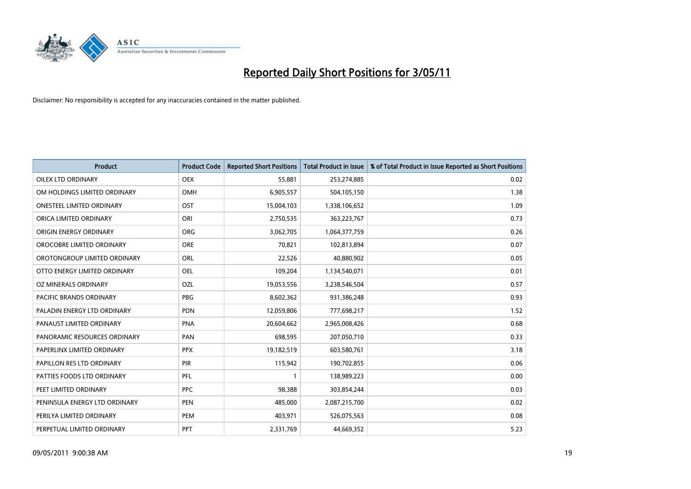

| <b>Product</b>                   | <b>Product Code</b> | <b>Reported Short Positions</b> | <b>Total Product in Issue</b> | % of Total Product in Issue Reported as Short Positions |
|----------------------------------|---------------------|---------------------------------|-------------------------------|---------------------------------------------------------|
| OILEX LTD ORDINARY               | <b>OEX</b>          | 55,881                          | 253,274,885                   | 0.02                                                    |
| OM HOLDINGS LIMITED ORDINARY     | <b>OMH</b>          | 6,905,557                       | 504,105,150                   | 1.38                                                    |
| <b>ONESTEEL LIMITED ORDINARY</b> | OST                 | 15,004,103                      | 1,338,106,652                 | 1.09                                                    |
| ORICA LIMITED ORDINARY           | ORI                 | 2,750,535                       | 363,223,767                   | 0.73                                                    |
| ORIGIN ENERGY ORDINARY           | <b>ORG</b>          | 3,062,705                       | 1,064,377,759                 | 0.26                                                    |
| OROCOBRE LIMITED ORDINARY        | <b>ORE</b>          | 70,821                          | 102,813,894                   | 0.07                                                    |
| OROTONGROUP LIMITED ORDINARY     | ORL                 | 22,526                          | 40,880,902                    | 0.05                                                    |
| OTTO ENERGY LIMITED ORDINARY     | <b>OEL</b>          | 109,204                         | 1,134,540,071                 | 0.01                                                    |
| OZ MINERALS ORDINARY             | OZL                 | 19,053,556                      | 3,238,546,504                 | 0.57                                                    |
| <b>PACIFIC BRANDS ORDINARY</b>   | <b>PBG</b>          | 8,602,362                       | 931,386,248                   | 0.93                                                    |
| PALADIN ENERGY LTD ORDINARY      | <b>PDN</b>          | 12,059,806                      | 777,698,217                   | 1.52                                                    |
| PANAUST LIMITED ORDINARY         | <b>PNA</b>          | 20,604,662                      | 2,965,008,426                 | 0.68                                                    |
| PANORAMIC RESOURCES ORDINARY     | PAN                 | 698,595                         | 207,050,710                   | 0.33                                                    |
| PAPERLINX LIMITED ORDINARY       | <b>PPX</b>          | 19,182,519                      | 603,580,761                   | 3.18                                                    |
| PAPILLON RES LTD ORDINARY        | PIR                 | 115,942                         | 190,702,855                   | 0.06                                                    |
| PATTIES FOODS LTD ORDINARY       | PFL                 |                                 | 138,989,223                   | 0.00                                                    |
| PEET LIMITED ORDINARY            | <b>PPC</b>          | 98,388                          | 303,854,244                   | 0.03                                                    |
| PENINSULA ENERGY LTD ORDINARY    | <b>PEN</b>          | 485,000                         | 2,087,215,700                 | 0.02                                                    |
| PERILYA LIMITED ORDINARY         | PEM                 | 403,971                         | 526,075,563                   | 0.08                                                    |
| PERPETUAL LIMITED ORDINARY       | PPT                 | 2,331,769                       | 44,669,352                    | 5.23                                                    |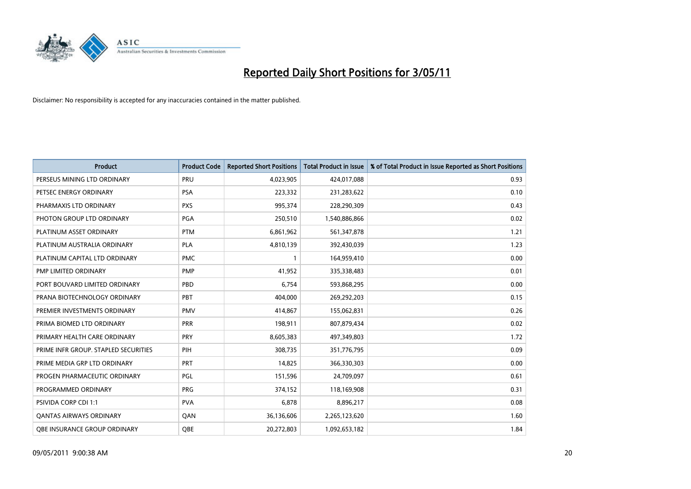

| <b>Product</b>                       | <b>Product Code</b> | <b>Reported Short Positions</b> | Total Product in Issue | % of Total Product in Issue Reported as Short Positions |
|--------------------------------------|---------------------|---------------------------------|------------------------|---------------------------------------------------------|
| PERSEUS MINING LTD ORDINARY          | PRU                 | 4,023,905                       | 424,017,088            | 0.93                                                    |
| PETSEC ENERGY ORDINARY               | PSA                 | 223,332                         | 231,283,622            | 0.10                                                    |
| PHARMAXIS LTD ORDINARY               | <b>PXS</b>          | 995,374                         | 228,290,309            | 0.43                                                    |
| PHOTON GROUP LTD ORDINARY            | PGA                 | 250,510                         | 1,540,886,866          | 0.02                                                    |
| PLATINUM ASSET ORDINARY              | <b>PTM</b>          | 6,861,962                       | 561,347,878            | 1.21                                                    |
| PLATINUM AUSTRALIA ORDINARY          | <b>PLA</b>          | 4,810,139                       | 392,430,039            | 1.23                                                    |
| PLATINUM CAPITAL LTD ORDINARY        | <b>PMC</b>          |                                 | 164,959,410            | 0.00                                                    |
| PMP LIMITED ORDINARY                 | <b>PMP</b>          | 41,952                          | 335,338,483            | 0.01                                                    |
| PORT BOUVARD LIMITED ORDINARY        | PBD                 | 6,754                           | 593,868,295            | 0.00                                                    |
| PRANA BIOTECHNOLOGY ORDINARY         | PBT                 | 404,000                         | 269,292,203            | 0.15                                                    |
| PREMIER INVESTMENTS ORDINARY         | <b>PMV</b>          | 414,867                         | 155,062,831            | 0.26                                                    |
| PRIMA BIOMED LTD ORDINARY            | <b>PRR</b>          | 198,911                         | 807,879,434            | 0.02                                                    |
| PRIMARY HEALTH CARE ORDINARY         | PRY                 | 8,605,383                       | 497,349,803            | 1.72                                                    |
| PRIME INFR GROUP. STAPLED SECURITIES | PIH                 | 308,735                         | 351,776,795            | 0.09                                                    |
| PRIME MEDIA GRP LTD ORDINARY         | <b>PRT</b>          | 14,825                          | 366,330,303            | 0.00                                                    |
| PROGEN PHARMACEUTIC ORDINARY         | PGL                 | 151,596                         | 24,709,097             | 0.61                                                    |
| PROGRAMMED ORDINARY                  | <b>PRG</b>          | 374,152                         | 118,169,908            | 0.31                                                    |
| PSIVIDA CORP CDI 1:1                 | <b>PVA</b>          | 6,878                           | 8,896,217              | 0.08                                                    |
| <b>QANTAS AIRWAYS ORDINARY</b>       | QAN                 | 36,136,606                      | 2,265,123,620          | 1.60                                                    |
| <b>QBE INSURANCE GROUP ORDINARY</b>  | OBE                 | 20,272,803                      | 1,092,653,182          | 1.84                                                    |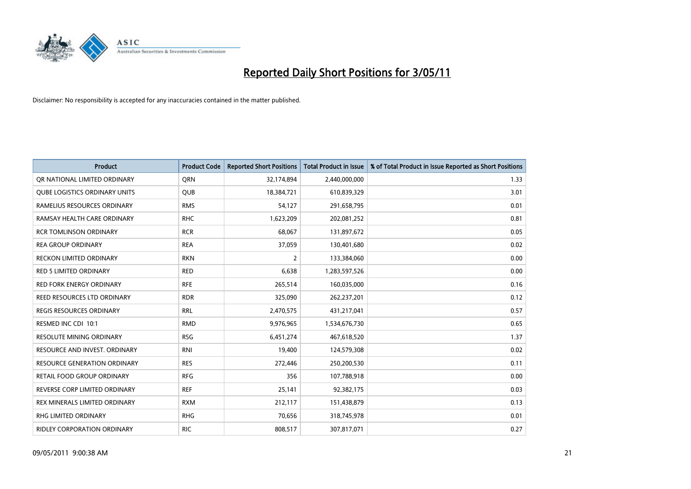

| <b>Product</b>                       | <b>Product Code</b> | <b>Reported Short Positions</b> | Total Product in Issue | % of Total Product in Issue Reported as Short Positions |
|--------------------------------------|---------------------|---------------------------------|------------------------|---------------------------------------------------------|
| OR NATIONAL LIMITED ORDINARY         | <b>ORN</b>          | 32,174,894                      | 2,440,000,000          | 1.33                                                    |
| <b>QUBE LOGISTICS ORDINARY UNITS</b> | <b>OUB</b>          | 18,384,721                      | 610,839,329            | 3.01                                                    |
| RAMELIUS RESOURCES ORDINARY          | <b>RMS</b>          | 54,127                          | 291,658,795            | 0.01                                                    |
| RAMSAY HEALTH CARE ORDINARY          | <b>RHC</b>          | 1,623,209                       | 202,081,252            | 0.81                                                    |
| <b>RCR TOMLINSON ORDINARY</b>        | <b>RCR</b>          | 68.067                          | 131,897,672            | 0.05                                                    |
| <b>REA GROUP ORDINARY</b>            | <b>REA</b>          | 37,059                          | 130,401,680            | 0.02                                                    |
| <b>RECKON LIMITED ORDINARY</b>       | <b>RKN</b>          | 2                               | 133,384,060            | 0.00                                                    |
| <b>RED 5 LIMITED ORDINARY</b>        | <b>RED</b>          | 6,638                           | 1,283,597,526          | 0.00                                                    |
| RED FORK ENERGY ORDINARY             | <b>RFE</b>          | 265,514                         | 160,035,000            | 0.16                                                    |
| <b>REED RESOURCES LTD ORDINARY</b>   | <b>RDR</b>          | 325,090                         | 262,237,201            | 0.12                                                    |
| <b>REGIS RESOURCES ORDINARY</b>      | <b>RRL</b>          | 2,470,575                       | 431,217,041            | 0.57                                                    |
| RESMED INC CDI 10:1                  | <b>RMD</b>          | 9,976,965                       | 1,534,676,730          | 0.65                                                    |
| <b>RESOLUTE MINING ORDINARY</b>      | <b>RSG</b>          | 6,451,274                       | 467,618,520            | 1.37                                                    |
| RESOURCE AND INVEST. ORDINARY        | <b>RNI</b>          | 19,400                          | 124,579,308            | 0.02                                                    |
| <b>RESOURCE GENERATION ORDINARY</b>  | <b>RES</b>          | 272,446                         | 250,200,530            | 0.11                                                    |
| <b>RETAIL FOOD GROUP ORDINARY</b>    | <b>RFG</b>          | 356                             | 107,788,918            | 0.00                                                    |
| REVERSE CORP LIMITED ORDINARY        | <b>REF</b>          | 25,141                          | 92,382,175             | 0.03                                                    |
| REX MINERALS LIMITED ORDINARY        | <b>RXM</b>          | 212,117                         | 151,438,879            | 0.13                                                    |
| <b>RHG LIMITED ORDINARY</b>          | <b>RHG</b>          | 70,656                          | 318,745,978            | 0.01                                                    |
| <b>RIDLEY CORPORATION ORDINARY</b>   | <b>RIC</b>          | 808,517                         | 307,817,071            | 0.27                                                    |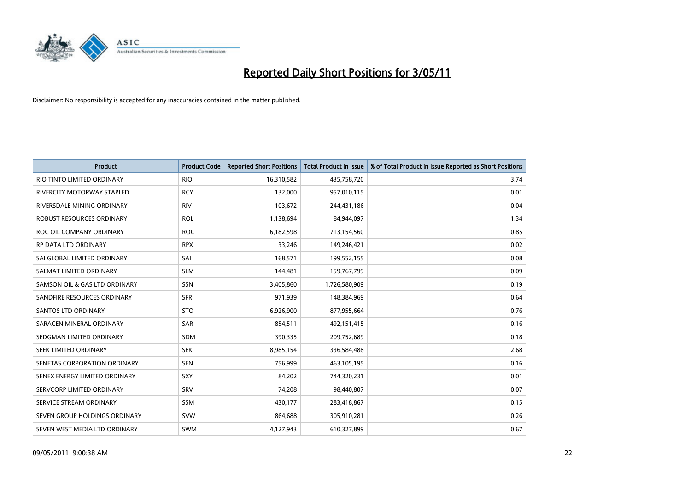

| <b>Product</b>                    | <b>Product Code</b> | <b>Reported Short Positions</b> | <b>Total Product in Issue</b> | % of Total Product in Issue Reported as Short Positions |
|-----------------------------------|---------------------|---------------------------------|-------------------------------|---------------------------------------------------------|
| RIO TINTO LIMITED ORDINARY        | <b>RIO</b>          | 16,310,582                      | 435,758,720                   | 3.74                                                    |
| <b>RIVERCITY MOTORWAY STAPLED</b> | <b>RCY</b>          | 132,000                         | 957,010,115                   | 0.01                                                    |
| RIVERSDALE MINING ORDINARY        | <b>RIV</b>          | 103,672                         | 244,431,186                   | 0.04                                                    |
| ROBUST RESOURCES ORDINARY         | <b>ROL</b>          | 1,138,694                       | 84,944,097                    | 1.34                                                    |
| ROC OIL COMPANY ORDINARY          | <b>ROC</b>          | 6,182,598                       | 713,154,560                   | 0.85                                                    |
| <b>RP DATA LTD ORDINARY</b>       | <b>RPX</b>          | 33,246                          | 149,246,421                   | 0.02                                                    |
| SAI GLOBAL LIMITED ORDINARY       | SAI                 | 168,571                         | 199,552,155                   | 0.08                                                    |
| SALMAT LIMITED ORDINARY           | <b>SLM</b>          | 144,481                         | 159,767,799                   | 0.09                                                    |
| SAMSON OIL & GAS LTD ORDINARY     | SSN                 | 3,405,860                       | 1,726,580,909                 | 0.19                                                    |
| SANDFIRE RESOURCES ORDINARY       | <b>SFR</b>          | 971,939                         | 148,384,969                   | 0.64                                                    |
| <b>SANTOS LTD ORDINARY</b>        | <b>STO</b>          | 6,926,900                       | 877,955,664                   | 0.76                                                    |
| SARACEN MINERAL ORDINARY          | SAR                 | 854,511                         | 492,151,415                   | 0.16                                                    |
| SEDGMAN LIMITED ORDINARY          | SDM                 | 390,335                         | 209,752,689                   | 0.18                                                    |
| SEEK LIMITED ORDINARY             | <b>SEK</b>          | 8,985,154                       | 336,584,488                   | 2.68                                                    |
| SENETAS CORPORATION ORDINARY      | <b>SEN</b>          | 756,999                         | 463,105,195                   | 0.16                                                    |
| SENEX ENERGY LIMITED ORDINARY     | SXY                 | 84,202                          | 744,320,231                   | 0.01                                                    |
| SERVCORP LIMITED ORDINARY         | SRV                 | 74,208                          | 98,440,807                    | 0.07                                                    |
| SERVICE STREAM ORDINARY           | <b>SSM</b>          | 430,177                         | 283,418,867                   | 0.15                                                    |
| SEVEN GROUP HOLDINGS ORDINARY     | <b>SVW</b>          | 864,688                         | 305,910,281                   | 0.26                                                    |
| SEVEN WEST MEDIA LTD ORDINARY     | <b>SWM</b>          | 4,127,943                       | 610,327,899                   | 0.67                                                    |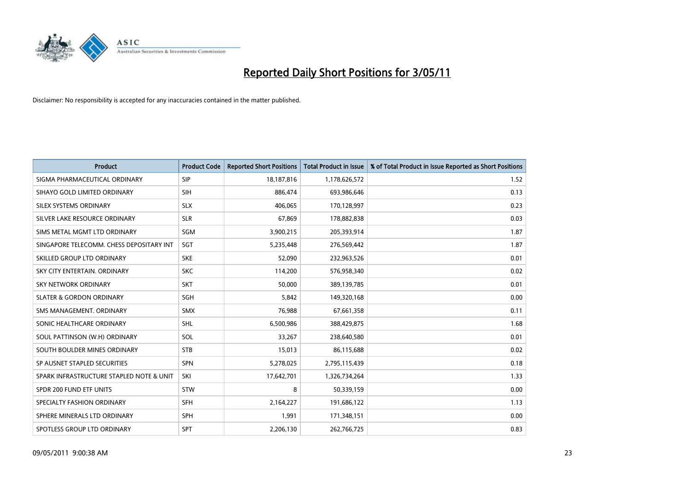

| <b>Product</b>                           | <b>Product Code</b> | <b>Reported Short Positions</b> | <b>Total Product in Issue</b> | % of Total Product in Issue Reported as Short Positions |
|------------------------------------------|---------------------|---------------------------------|-------------------------------|---------------------------------------------------------|
| SIGMA PHARMACEUTICAL ORDINARY            | SIP                 | 18,187,816                      | 1,178,626,572                 | 1.52                                                    |
| SIHAYO GOLD LIMITED ORDINARY             | <b>SIH</b>          | 886,474                         | 693,986,646                   | 0.13                                                    |
| SILEX SYSTEMS ORDINARY                   | <b>SLX</b>          | 406,065                         | 170,128,997                   | 0.23                                                    |
| SILVER LAKE RESOURCE ORDINARY            | <b>SLR</b>          | 67,869                          | 178,882,838                   | 0.03                                                    |
| SIMS METAL MGMT LTD ORDINARY             | SGM                 | 3,900,215                       | 205,393,914                   | 1.87                                                    |
| SINGAPORE TELECOMM. CHESS DEPOSITARY INT | SGT                 | 5,235,448                       | 276,569,442                   | 1.87                                                    |
| SKILLED GROUP LTD ORDINARY               | <b>SKE</b>          | 52.090                          | 232,963,526                   | 0.01                                                    |
| SKY CITY ENTERTAIN, ORDINARY             | <b>SKC</b>          | 114,200                         | 576,958,340                   | 0.02                                                    |
| SKY NETWORK ORDINARY                     | <b>SKT</b>          | 50,000                          | 389,139,785                   | 0.01                                                    |
| <b>SLATER &amp; GORDON ORDINARY</b>      | SGH                 | 5,842                           | 149,320,168                   | 0.00                                                    |
| SMS MANAGEMENT. ORDINARY                 | <b>SMX</b>          | 76,988                          | 67,661,358                    | 0.11                                                    |
| SONIC HEALTHCARE ORDINARY                | <b>SHL</b>          | 6,500,986                       | 388,429,875                   | 1.68                                                    |
| SOUL PATTINSON (W.H) ORDINARY            | SOL                 | 33,267                          | 238,640,580                   | 0.01                                                    |
| SOUTH BOULDER MINES ORDINARY             | <b>STB</b>          | 15,013                          | 86,115,688                    | 0.02                                                    |
| SP AUSNET STAPLED SECURITIES             | SPN                 | 5,278,025                       | 2,795,115,439                 | 0.18                                                    |
| SPARK INFRASTRUCTURE STAPLED NOTE & UNIT | SKI                 | 17,642,701                      | 1,326,734,264                 | 1.33                                                    |
| SPDR 200 FUND ETF UNITS                  | <b>STW</b>          | 8                               | 50,339,159                    | 0.00                                                    |
| SPECIALTY FASHION ORDINARY               | <b>SFH</b>          | 2,164,227                       | 191,686,122                   | 1.13                                                    |
| SPHERE MINERALS LTD ORDINARY             | <b>SPH</b>          | 1,991                           | 171,348,151                   | 0.00                                                    |
| SPOTLESS GROUP LTD ORDINARY              | SPT                 | 2,206,130                       | 262,766,725                   | 0.83                                                    |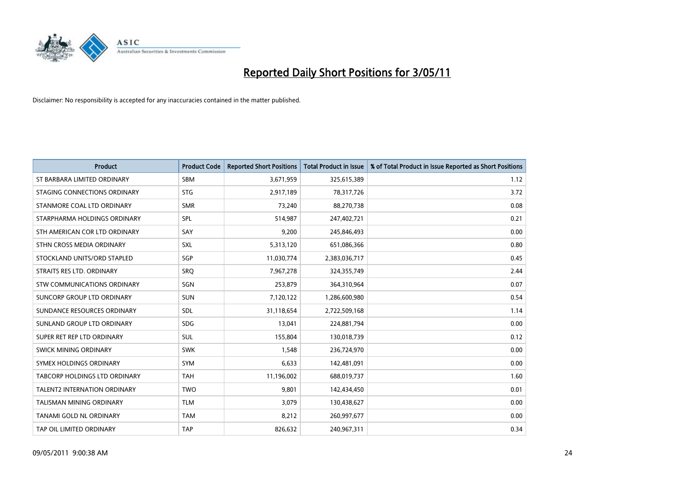

| <b>Product</b>                | <b>Product Code</b> | <b>Reported Short Positions</b> | <b>Total Product in Issue</b> | % of Total Product in Issue Reported as Short Positions |
|-------------------------------|---------------------|---------------------------------|-------------------------------|---------------------------------------------------------|
| ST BARBARA LIMITED ORDINARY   | <b>SBM</b>          | 3,671,959                       | 325,615,389                   | 1.12                                                    |
| STAGING CONNECTIONS ORDINARY  | <b>STG</b>          | 2,917,189                       | 78,317,726                    | 3.72                                                    |
| STANMORE COAL LTD ORDINARY    | <b>SMR</b>          | 73,240                          | 88,270,738                    | 0.08                                                    |
| STARPHARMA HOLDINGS ORDINARY  | SPL                 | 514,987                         | 247,402,721                   | 0.21                                                    |
| STH AMERICAN COR LTD ORDINARY | SAY                 | 9,200                           | 245,846,493                   | 0.00                                                    |
| STHN CROSS MEDIA ORDINARY     | <b>SXL</b>          | 5,313,120                       | 651,086,366                   | 0.80                                                    |
| STOCKLAND UNITS/ORD STAPLED   | SGP                 | 11,030,774                      | 2,383,036,717                 | 0.45                                                    |
| STRAITS RES LTD. ORDINARY     | SRO                 | 7,967,278                       | 324,355,749                   | 2.44                                                    |
| STW COMMUNICATIONS ORDINARY   | SGN                 | 253,879                         | 364,310,964                   | 0.07                                                    |
| SUNCORP GROUP LTD ORDINARY    | <b>SUN</b>          | 7,120,122                       | 1,286,600,980                 | 0.54                                                    |
| SUNDANCE RESOURCES ORDINARY   | <b>SDL</b>          | 31,118,654                      | 2,722,509,168                 | 1.14                                                    |
| SUNLAND GROUP LTD ORDINARY    | <b>SDG</b>          | 13,041                          | 224,881,794                   | 0.00                                                    |
| SUPER RET REP LTD ORDINARY    | SUL                 | 155,804                         | 130,018,739                   | 0.12                                                    |
| <b>SWICK MINING ORDINARY</b>  | <b>SWK</b>          | 1,548                           | 236,724,970                   | 0.00                                                    |
| SYMEX HOLDINGS ORDINARY       | SYM                 | 6,633                           | 142,481,091                   | 0.00                                                    |
| TABCORP HOLDINGS LTD ORDINARY | <b>TAH</b>          | 11,196,002                      | 688,019,737                   | 1.60                                                    |
| TALENT2 INTERNATION ORDINARY  | <b>TWO</b>          | 9,801                           | 142,434,450                   | 0.01                                                    |
| TALISMAN MINING ORDINARY      | <b>TLM</b>          | 3,079                           | 130,438,627                   | 0.00                                                    |
| TANAMI GOLD NL ORDINARY       | <b>TAM</b>          | 8,212                           | 260,997,677                   | 0.00                                                    |
| TAP OIL LIMITED ORDINARY      | <b>TAP</b>          | 826,632                         | 240,967,311                   | 0.34                                                    |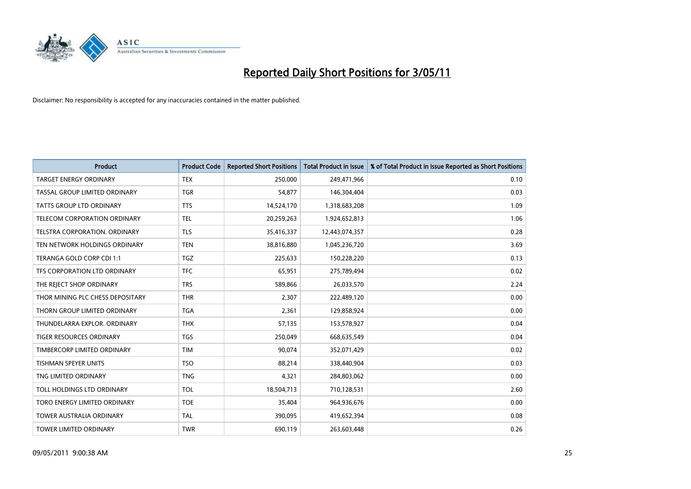

| <b>Product</b>                       | <b>Product Code</b> | <b>Reported Short Positions</b> | Total Product in Issue | % of Total Product in Issue Reported as Short Positions |
|--------------------------------------|---------------------|---------------------------------|------------------------|---------------------------------------------------------|
| <b>TARGET ENERGY ORDINARY</b>        | <b>TEX</b>          | 250,000                         | 249,471,966            | 0.10                                                    |
| TASSAL GROUP LIMITED ORDINARY        | <b>TGR</b>          | 54,877                          | 146,304,404            | 0.03                                                    |
| <b>TATTS GROUP LTD ORDINARY</b>      | <b>TTS</b>          | 14,524,170                      | 1,318,683,208          | 1.09                                                    |
| TELECOM CORPORATION ORDINARY         | <b>TEL</b>          | 20,259,263                      | 1,924,652,813          | 1.06                                                    |
| <b>TELSTRA CORPORATION, ORDINARY</b> | <b>TLS</b>          | 35,416,337                      | 12,443,074,357         | 0.28                                                    |
| TEN NETWORK HOLDINGS ORDINARY        | <b>TEN</b>          | 38,816,880                      | 1,045,236,720          | 3.69                                                    |
| TERANGA GOLD CORP CDI 1:1            | <b>TGZ</b>          | 225,633                         | 150,228,220            | 0.13                                                    |
| TFS CORPORATION LTD ORDINARY         | <b>TFC</b>          | 65,951                          | 275,789,494            | 0.02                                                    |
| THE REJECT SHOP ORDINARY             | <b>TRS</b>          | 589,866                         | 26,033,570             | 2.24                                                    |
| THOR MINING PLC CHESS DEPOSITARY     | <b>THR</b>          | 2,307                           | 222,489,120            | 0.00                                                    |
| THORN GROUP LIMITED ORDINARY         | <b>TGA</b>          | 2,361                           | 129,858,924            | 0.00                                                    |
| THUNDELARRA EXPLOR, ORDINARY         | <b>THX</b>          | 57,135                          | 153,578,927            | 0.04                                                    |
| <b>TIGER RESOURCES ORDINARY</b>      | <b>TGS</b>          | 250,049                         | 668,635,549            | 0.04                                                    |
| TIMBERCORP LIMITED ORDINARY          | <b>TIM</b>          | 90,074                          | 352,071,429            | 0.02                                                    |
| <b>TISHMAN SPEYER UNITS</b>          | <b>TSO</b>          | 88,214                          | 338,440,904            | 0.03                                                    |
| TNG LIMITED ORDINARY                 | <b>TNG</b>          | 4,321                           | 284,803,062            | 0.00                                                    |
| TOLL HOLDINGS LTD ORDINARY           | <b>TOL</b>          | 18,504,713                      | 710,128,531            | 2.60                                                    |
| TORO ENERGY LIMITED ORDINARY         | <b>TOE</b>          | 35,404                          | 964,936,676            | 0.00                                                    |
| <b>TOWER AUSTRALIA ORDINARY</b>      | <b>TAL</b>          | 390,095                         | 419,652,394            | 0.08                                                    |
| <b>TOWER LIMITED ORDINARY</b>        | <b>TWR</b>          | 690,119                         | 263,603,448            | 0.26                                                    |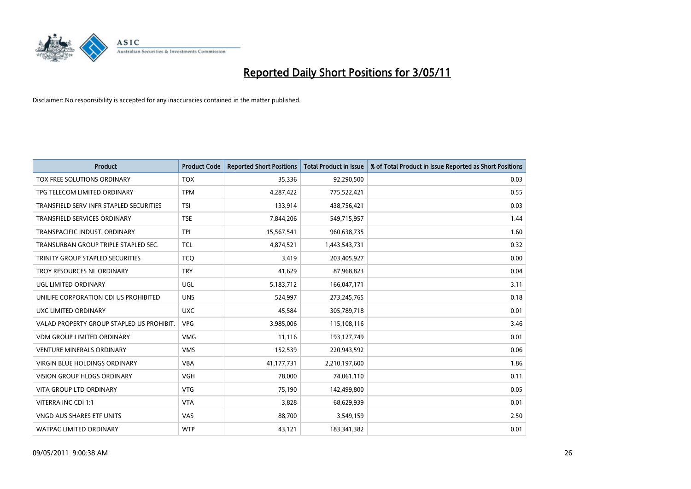

| <b>Product</b>                            | <b>Product Code</b> | <b>Reported Short Positions</b> | Total Product in Issue | % of Total Product in Issue Reported as Short Positions |
|-------------------------------------------|---------------------|---------------------------------|------------------------|---------------------------------------------------------|
| TOX FREE SOLUTIONS ORDINARY               | <b>TOX</b>          | 35.336                          | 92,290,500             | 0.03                                                    |
| TPG TELECOM LIMITED ORDINARY              | <b>TPM</b>          | 4,287,422                       | 775,522,421            | 0.55                                                    |
| TRANSFIELD SERV INFR STAPLED SECURITIES   | <b>TSI</b>          | 133,914                         | 438,756,421            | 0.03                                                    |
| TRANSFIELD SERVICES ORDINARY              | <b>TSE</b>          | 7,844,206                       | 549,715,957            | 1.44                                                    |
| TRANSPACIFIC INDUST, ORDINARY             | <b>TPI</b>          | 15,567,541                      | 960,638,735            | 1.60                                                    |
| TRANSURBAN GROUP TRIPLE STAPLED SEC.      | <b>TCL</b>          | 4,874,521                       | 1,443,543,731          | 0.32                                                    |
| TRINITY GROUP STAPLED SECURITIES          | <b>TCO</b>          | 3,419                           | 203,405,927            | 0.00                                                    |
| TROY RESOURCES NL ORDINARY                | <b>TRY</b>          | 41.629                          | 87,968,823             | 0.04                                                    |
| UGL LIMITED ORDINARY                      | UGL                 | 5,183,712                       | 166,047,171            | 3.11                                                    |
| UNILIFE CORPORATION CDI US PROHIBITED     | <b>UNS</b>          | 524,997                         | 273,245,765            | 0.18                                                    |
| UXC LIMITED ORDINARY                      | <b>UXC</b>          | 45,584                          | 305,789,718            | 0.01                                                    |
| VALAD PROPERTY GROUP STAPLED US PROHIBIT. | <b>VPG</b>          | 3,985,006                       | 115,108,116            | 3.46                                                    |
| <b>VDM GROUP LIMITED ORDINARY</b>         | <b>VMG</b>          | 11,116                          | 193,127,749            | 0.01                                                    |
| <b>VENTURE MINERALS ORDINARY</b>          | <b>VMS</b>          | 152,539                         | 220,943,592            | 0.06                                                    |
| <b>VIRGIN BLUE HOLDINGS ORDINARY</b>      | <b>VBA</b>          | 41,177,731                      | 2,210,197,600          | 1.86                                                    |
| <b>VISION GROUP HLDGS ORDINARY</b>        | <b>VGH</b>          | 78,000                          | 74,061,110             | 0.11                                                    |
| VITA GROUP LTD ORDINARY                   | <b>VTG</b>          | 75,190                          | 142,499,800            | 0.05                                                    |
| VITERRA INC CDI 1:1                       | <b>VTA</b>          | 3,828                           | 68,629,939             | 0.01                                                    |
| <b>VNGD AUS SHARES ETF UNITS</b>          | VAS                 | 88,700                          | 3,549,159              | 2.50                                                    |
| WATPAC LIMITED ORDINARY                   | <b>WTP</b>          | 43,121                          | 183,341,382            | 0.01                                                    |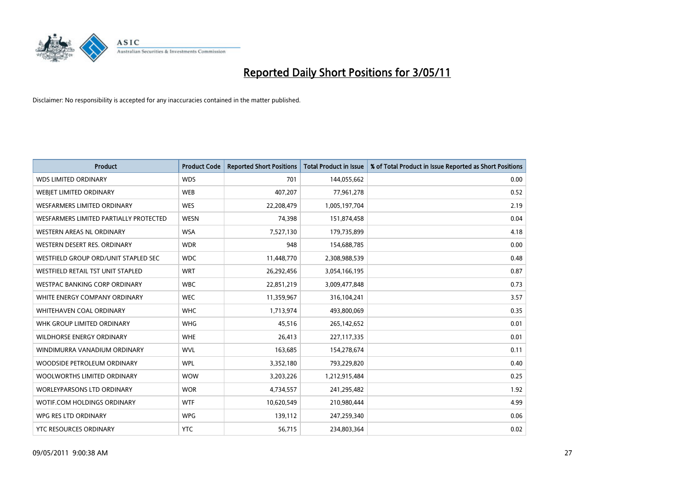

| <b>Product</b>                         | <b>Product Code</b> | <b>Reported Short Positions</b> | <b>Total Product in Issue</b> | % of Total Product in Issue Reported as Short Positions |
|----------------------------------------|---------------------|---------------------------------|-------------------------------|---------------------------------------------------------|
| <b>WDS LIMITED ORDINARY</b>            | <b>WDS</b>          | 701                             | 144,055,662                   | 0.00                                                    |
| <b>WEBJET LIMITED ORDINARY</b>         | <b>WEB</b>          | 407,207                         | 77,961,278                    | 0.52                                                    |
| WESFARMERS LIMITED ORDINARY            | <b>WES</b>          | 22,208,479                      | 1,005,197,704                 | 2.19                                                    |
| WESFARMERS LIMITED PARTIALLY PROTECTED | <b>WESN</b>         | 74,398                          | 151,874,458                   | 0.04                                                    |
| <b>WESTERN AREAS NL ORDINARY</b>       | <b>WSA</b>          | 7,527,130                       | 179,735,899                   | 4.18                                                    |
| WESTERN DESERT RES. ORDINARY           | <b>WDR</b>          | 948                             | 154,688,785                   | 0.00                                                    |
| WESTFIELD GROUP ORD/UNIT STAPLED SEC   | <b>WDC</b>          | 11,448,770                      | 2,308,988,539                 | 0.48                                                    |
| WESTFIELD RETAIL TST UNIT STAPLED      | <b>WRT</b>          | 26,292,456                      | 3,054,166,195                 | 0.87                                                    |
| <b>WESTPAC BANKING CORP ORDINARY</b>   | <b>WBC</b>          | 22,851,219                      | 3,009,477,848                 | 0.73                                                    |
| WHITE ENERGY COMPANY ORDINARY          | <b>WEC</b>          | 11,359,967                      | 316,104,241                   | 3.57                                                    |
| WHITEHAVEN COAL ORDINARY               | <b>WHC</b>          | 1,713,974                       | 493,800,069                   | 0.35                                                    |
| WHK GROUP LIMITED ORDINARY             | <b>WHG</b>          | 45,516                          | 265,142,652                   | 0.01                                                    |
| WILDHORSE ENERGY ORDINARY              | <b>WHE</b>          | 26,413                          | 227,117,335                   | 0.01                                                    |
| WINDIMURRA VANADIUM ORDINARY           | <b>WVL</b>          | 163,685                         | 154,278,674                   | 0.11                                                    |
| WOODSIDE PETROLEUM ORDINARY            | <b>WPL</b>          | 3,352,180                       | 793,229,820                   | 0.40                                                    |
| WOOLWORTHS LIMITED ORDINARY            | <b>WOW</b>          | 3,203,226                       | 1,212,915,484                 | 0.25                                                    |
| WORLEYPARSONS LTD ORDINARY             | <b>WOR</b>          | 4,734,557                       | 241,295,482                   | 1.92                                                    |
| WOTIF.COM HOLDINGS ORDINARY            | <b>WTF</b>          | 10,620,549                      | 210,980,444                   | 4.99                                                    |
| WPG RES LTD ORDINARY                   | <b>WPG</b>          | 139,112                         | 247,259,340                   | 0.06                                                    |
| YTC RESOURCES ORDINARY                 | <b>YTC</b>          | 56,715                          | 234,803,364                   | 0.02                                                    |